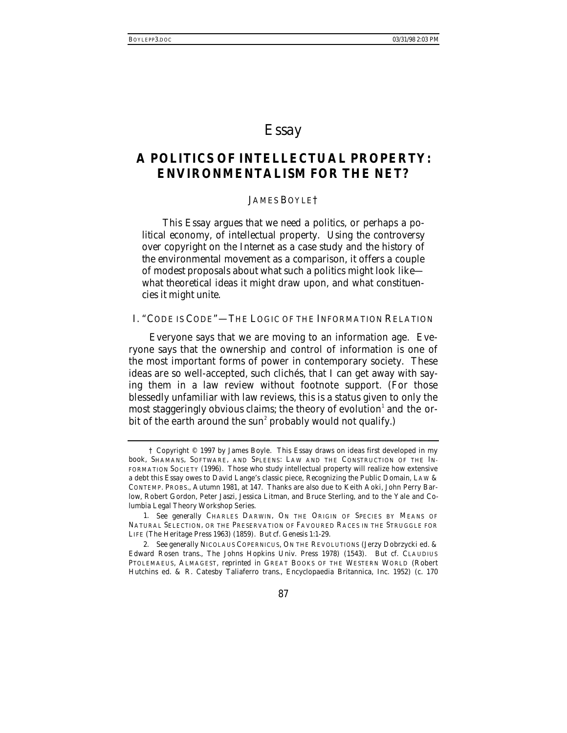# Essay

# **A POLITICS OF INTELLECTUAL PROPERTY: ENVIRONMENTALISM FOR THE NET?**

## JAMES BOYLE†

*This Essay argues that we need a politics, or perhaps a political economy, of intellectual property. Using the controversy over copyright on the Internet as a case study and the history of the environmental movement as a comparison, it offers a couple of modest proposals about what such a politics might look like what theoretical ideas it might draw upon, and what constituencies it might unite.*

I. "CODE IS CODE"—THE LOGIC OF THE INFORMATION RELATION

Everyone says that we are moving to an information age. Everyone says that the ownership and control of information is one of the most important forms of power in contemporary society. These ideas are so well-accepted, such clichés, that I can get away with saying them in a law review without footnote support. (For those blessedly unfamiliar with law reviews, this is a status given to only the most staggeringly obvious claims; the theory of evolution $^{\rm 1}$  and the orbit of the earth around the sun<sup>2</sup> probably would not qualify.)

<sup>†</sup> Copyright © 1997 by James Boyle. This Essay draws on ideas first developed in my book, SHAMANS, SOFTWARE, AND SPLEENS: LAW AND THE CONSTRUCTION OF THE IN-FORMATION SOCIETY (1996). Those who study intellectual property will realize how extensive a debt this Essay owes to David Lange's classic piece, *Recognizing the Public Domain*, LAW & CONTEMP. PROBS., Autumn 1981, at 147. Thanks are also due to Keith Aoki, John Perry Barlow, Robert Gordon, Peter Jaszi, Jessica Litman, and Bruce Sterling, and to the Yale and Columbia Legal Theory Workshop Series.

<sup>1.</sup> *See generally* CHARLES DARWIN, ON THE ORIGIN OF SPECIES BY MEANS OF NATURAL SELECTION, OR THE PRESERVATION OF FAVOURED RACES IN THE STRUGGLE FOR LIFE (The Heritage Press 1963) (1859). *But cf. Genesis* 1:1-29.

<sup>2</sup>*. See generally* NICOLAUS COPERNICUS, ON THE REVOLUTIONS (Jerzy Dobrzycki ed. & Edward Rosen trans., The Johns Hopkins Univ. Press 1978) (1543). *But cf.* CLAUDIUS PTOLEMAEUS, ALMAGEST, *reprinted in* GREAT BOOKS OF THE WESTERN WORLD (Robert Hutchins ed. & R. Catesby Taliaferro trans., Encyclopaedia Britannica, Inc. 1952) (c. 170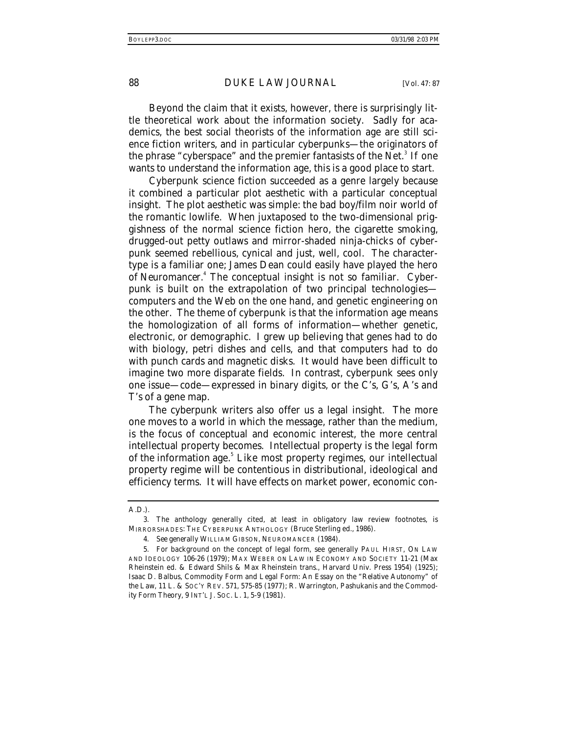Beyond the claim that it exists, however, there is surprisingly little theoretical work about the information society. Sadly for academics, the best social theorists of the information age are still science fiction writers, and in particular cyberpunks—the originators of the phrase "cyberspace" and the premier fantasists of the Net.<sup>3</sup> If one wants to understand the information age, this is a good place to start.

Cyberpunk science fiction succeeded as a genre largely because it combined a particular plot aesthetic with a particular conceptual insight. The plot aesthetic was simple: the bad boy/film noir world of the romantic lowlife. When juxtaposed to the two-dimensional priggishness of the normal science fiction hero, the cigarette smoking, drugged-out petty outlaws and mirror-shaded ninja-chicks of cyberpunk seemed rebellious, cynical and just, well, *cool*. The charactertype is a familiar one; James Dean could easily have played the hero of *Neuromancer*.<sup>4</sup> The conceptual insight is not so familiar. Cyberpunk is built on the extrapolation of two principal technologies computers and the Web on the one hand, and genetic engineering on the other. The theme of cyberpunk is that the information age means the homologization of all forms of information—whether genetic, electronic, or demographic. I grew up believing that genes had to do with biology, petri dishes and cells, and that computers had to do with punch cards and magnetic disks. It would have been difficult to imagine two more disparate fields. In contrast, cyberpunk sees only one issue—code—expressed in binary digits, or the C's, G's, A's and T's of a gene map.

The cyberpunk writers also offer us a legal insight. The more one moves to a world in which the message, rather than the medium, is the focus of conceptual and economic interest, the more central intellectual property becomes. Intellectual property is the legal form of the information age.<sup>5</sup> Like most property regimes, our intellectual property regime will be contentious in distributional, ideological and efficiency terms. It will have effects on market power, economic con-

A.D.).

<sup>3.</sup> The anthology generally cited, at least in obligatory law review footnotes, is MIRRORSHADES: THE CYBERPUNK ANTHOLOGY (Bruce Sterling ed., 1986).

<sup>4</sup>*. See generally* WILLIAM GIBSON, NEUROMANCER (1984).

<sup>5.</sup> For background on the concept of legal form, see generally PAUL HIRST, ON LAW AND IDEOLOGY 106-26 (1979); MAX WEBER ON LAW IN ECONOMY AND SOCIETY 11-21 (Max Rheinstein ed. & Edward Shils & Max Rheinstein trans., Harvard Univ. Press 1954) (1925); Isaac D. Balbus*, Commodity Form and Legal Form: An Essay on the "Relative Autonomy" of the Law*, 11 L. & SOC'Y REV. 571, 575-85 (1977); R. Warrington, *Pashukanis and the Commodity Form Theory*, 9 INT'L J. SOC. L. 1, 5-9 (1981).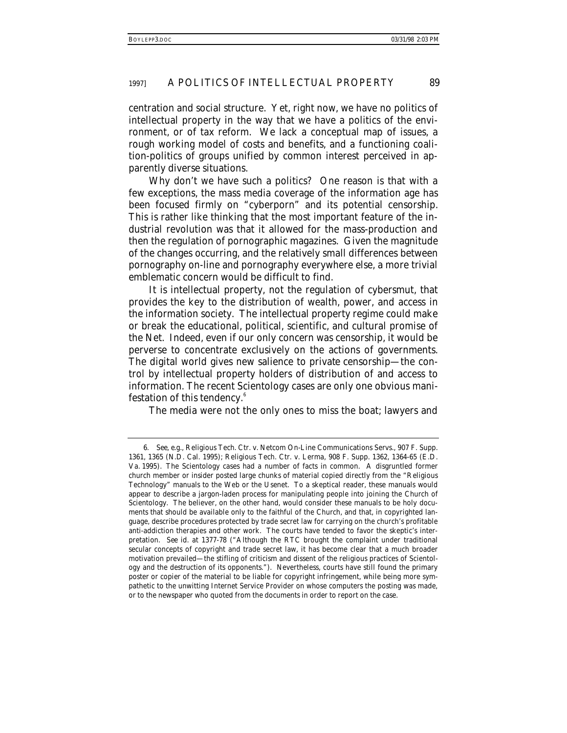centration and social structure. Yet, right now, we have no politics of intellectual property in the way that we have a politics of the environment, or of tax reform. We lack a conceptual map of issues, a rough working model of costs and benefits, and a functioning coalition-politics of groups unified by common interest perceived in apparently diverse situations.

Why don't we have such a politics? One reason is that with a few exceptions, the mass media coverage of the information age has been focused firmly on "cyberporn" and its potential censorship. This is rather like thinking that the most important feature of the industrial revolution was that it allowed for the mass-production and then the regulation of pornographic magazines. Given the magnitude of the changes occurring, and the relatively small differences between pornography on-line and pornography everywhere else, a more trivial emblematic concern would be difficult to find.

It is intellectual property, not the regulation of cybersmut, that provides the key to the distribution of wealth, power, and access in the information society. The intellectual property regime could make or break the educational, political, scientific, and cultural promise of the Net. Indeed, even if our *only* concern was censorship, it would be perverse to concentrate exclusively on the actions of governments. The digital world gives new salience to *private* censorship—the control by intellectual property holders of distribution of and access to information. The recent Scientology cases are only one obvious manifestation of this tendency.<sup>6</sup>

The media were not the only ones to miss the boat; lawyers and

<sup>6</sup>*. See, e.g*., Religious Tech. Ctr. v. Netcom On-Line Communications Servs., 907 F. Supp. 1361, 1365 (N.D. Cal. 1995); Religious Tech. Ctr. v. Lerma, 908 F. Supp. 1362, 1364-65 (E.D. Va. 1995). The Scientology cases had a number of facts in common. A disgruntled former church member or insider posted large chunks of material copied directly from the "Religious Technology" manuals to the Web or the Usenet. To a skeptical reader, these manuals would appear to describe a jargon-laden process for manipulating people into joining the Church of Scientology. The believer, on the other hand, would consider these manuals to be holy documents that should be available only to the faithful of the Church, and that, in copyrighted language, describe procedures protected by trade secret law for carrying on the church's profitable anti-addiction therapies and other work. The courts have tended to favor the skeptic's interpretation. *See id*. at 1377-78 ("Although the RTC brought the complaint under traditional secular concepts of copyright and trade secret law, it has become clear that a much broader motivation prevailed—the stifling of criticism and dissent of the religious practices of Scientology and the destruction of its opponents."). Nevertheless, courts have still found the primary poster or copier of the material to be liable for copyright infringement, while being more sympathetic to the unwitting Internet Service Provider on whose computers the posting was made, or to the newspaper who quoted from the documents in order to report on the case.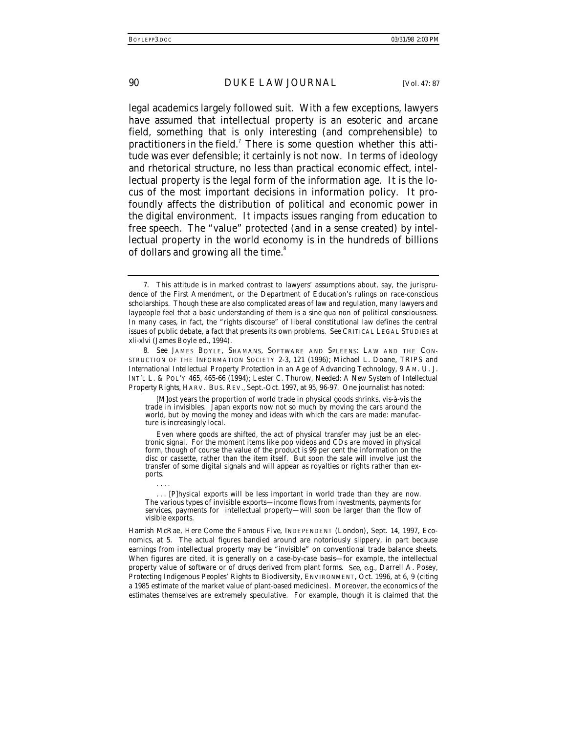. . . .

## 90 *DUKE LAW JOURNAL* [Vol. 47: 87]

legal academics largely followed suit. With a few exceptions, lawyers have assumed that intellectual property is an esoteric and arcane field, something that is only interesting (and comprehensible) to practitioners in the field.<sup>7</sup> There is some question whether this attitude was ever defensible; it certainly is not now. In terms of ideology and rhetorical structure, no less than practical economic effect, intellectual property is the legal form of the information age*.* It is the *locus* of the most important decisions in information policy. It profoundly affects the distribution of political and economic power in the digital environment. It impacts issues ranging from education to free speech. The "value" protected (and in a sense created) by intellectual property in the world economy is in the hundreds of billions of dollars and growing all the time.<sup>8</sup>

[M]ost years the proportion of world trade in physical goods shrinks, vis-à-vis the trade in invisibles. Japan exports now not so much by moving the cars around the world, but by moving the money and ideas with which the cars are made: manufacture is increasingly local.

Even where goods are shifted, the act of physical transfer may just be an electronic signal. For the moment items like pop videos and CDs are moved in physical form, though of course the value of the product is 99 per cent the information on the disc or cassette, rather than the item itself. But soon the sale will involve just the transfer of some digital signals and will appear as royalties or rights rather than exports.

... [P]hysical exports will be less important in world trade than they are now. The various types of invisible exports—income flows from investments, payments for services, payments for intellectual property—will soon be larger than the flow of visible exports.

Hamish McRae, *Here Come the Famous Five*, INDEPENDENT (London), Sept. 14, 1997, Economics, at 5. The actual figures bandied around are notoriously slippery, in part because earnings from intellectual property may be "invisible" on conventional trade balance sheets. When figures are cited, it is generally on a case-by-case basis—for example, the intellectual property value of software or of drugs derived from plant forms. *See, e.g*., Darrell A. Posey, *Protecting Indigenous Peoples' Rights to Biodiversity*, ENVIRONMENT, Oct. 1996, at 6, 9 (citing a 1985 estimate of the market value of plant-based medicines). Moreover, the economics of the estimates themselves are extremely speculative. For example, though it is claimed that the

<sup>7.</sup> This attitude is in marked contrast to lawyers' assumptions about, say, the jurisprudence of the First Amendment, or the Department of Education's rulings on race-conscious scholarships. Though these are also complicated areas of law and regulation, many lawyers and laypeople feel that a basic understanding of them is a *sine qua non* of political consciousness. In many cases, in fact, the "rights discourse" of liberal constitutional law defines the central issues of public debate, a fact that presents its own problems. *See* CRITICAL LEGAL STUDIES at xli-xlvi (James Boyle ed., 1994).

<sup>8</sup>*. See* JAMES BOYLE, SHAMANS, SOFTWARE AND SPLEENS: LAW AND THE CON-STRUCTION OF THE INFORMATION SOCIETY 2-3, 121 (1996); Michael L. Doane, *TRIPS and International Intellectual Property Protection in an Age of Advancing Technology*, 9 AM. U. J. INT'L L. & POL'Y 465, 465-66 (1994); Lester C. Thurow, *Needed: A New System of Intellectual Property Rights*, HARV. BUS. REV., Sept.-Oct. 1997, at 95, 96-97. One journalist has noted: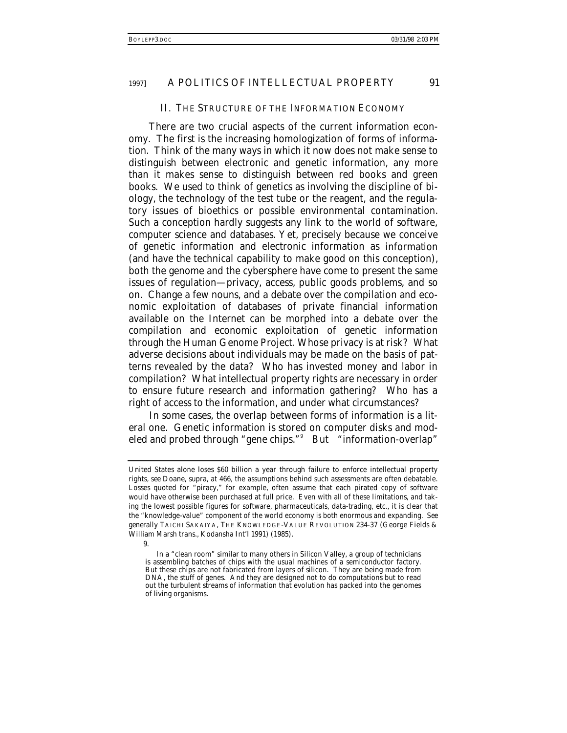#### II. THE STRUCTURE OF THE INFORMATION ECONOMY

There are two crucial aspects of the current information economy. The first is the increasing homologization of *forms* of information. Think of the many ways in which it now does not make sense to distinguish between electronic and genetic information, any more than it makes sense to distinguish between red books and green books. We used to think of genetics as involving the discipline of biology, the technology of the test tube or the reagent, and the regulatory issues of bioethics or possible environmental contamination. Such a conception hardly suggests any link to the world of software, computer science and databases. Yet, precisely because we conceive of genetic information and electronic information as *information* (and have the technical capability to make good on this conception), both the genome and the cybersphere have come to present the same issues of regulation—privacy, access, public goods problems, and so on. Change a few nouns, and a debate over the compilation and economic exploitation of databases of private financial information available on the Internet can be morphed into a debate over the compilation and economic exploitation of genetic information through the Human Genome Project. Whose privacy is at risk? What adverse decisions about individuals may be made on the basis of patterns revealed by the data? Who has invested money and labor in compilation? What intellectual property rights are necessary in order to ensure future research and information gathering? Who has a right of access to the information, and under what circumstances?

In some cases, the overlap between forms of information is a literal one. Genetic information is stored on computer disks and modeled and probed through "gene chips."<sup>9</sup> But "information-overlap"

United States alone loses \$60 billion a year through failure to enforce intellectual property rights, *see* Doane, *supra*, at 466, the assumptions behind such assessments are often debatable. Losses quoted for "piracy," for example, often assume that each pirated copy of software would have otherwise been purchased at full price. Even with all of these limitations, and taking the lowest possible figures for software, pharmaceuticals, data-trading, etc., it is clear that the "knowledge-value" component of the world economy is both enormous and expanding. *See generally* TAICHI SAKAIYA, THE KNOWLEDGE-VALUE REVOLUTION 234-37 (George Fields & William Marsh trans., Kodansha Int'l 1991) (1985).

<sup>9.</sup>

In a "clean room" similar to many others in Silicon Valley, a group of technicians is assembling batches of chips with the usual machines of a semiconductor factory. But these chips are not fabricated from layers of silicon. They are being made from DNA, the stuff of genes. And they are designed not to do computations but to read out the turbulent streams of information that evolution has packed into the genomes of living organisms.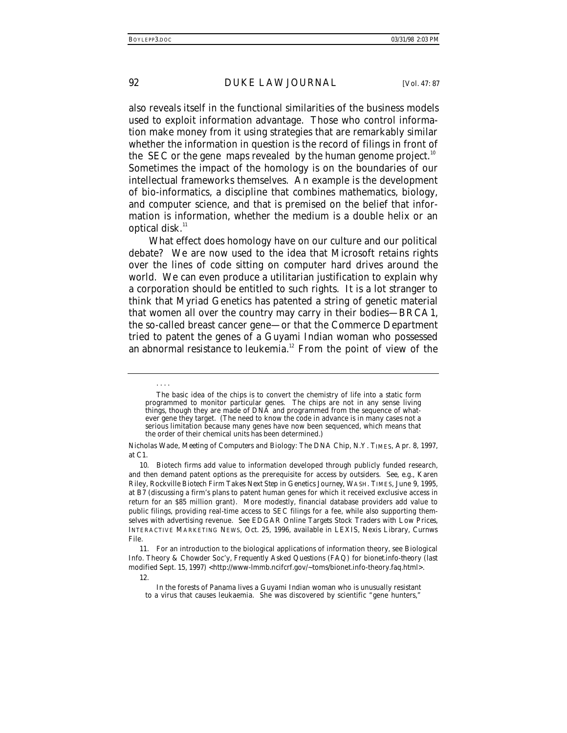also reveals itself in the functional similarities of the business models used to exploit information advantage. Those who control information make money from it using strategies that are remarkably similar whether the information in question is the record of filings in front of the SEC or the gene maps revealed by the human genome project. $\mathbb{P}$ Sometimes the impact of the homology is on the boundaries of our intellectual frameworks themselves. An example is the development of bio-informatics, a discipline that combines mathematics, biology, and computer science, and that is premised on the belief that information is information, whether the medium is a double helix or an optical disk. $11$ 

What effect does homology have on our culture and our political debate? We are now used to the idea that Microsoft retains rights over the lines of code sitting on computer hard drives around the world. We can even produce a utilitarian justification to explain why a corporation should be entitled to such rights. It is a lot stranger to think that Myriad Genetics has patented a string of genetic material that women all over the country may carry in their bodies—BRCA1, the so-called breast cancer gene—or that the Commerce Department tried to patent the genes of a Guyami Indian woman who possessed an abnormal resistance to leukemia.<sup>12</sup> From the point of view of the

. . . .

The basic idea of the chips is to convert the chemistry of life into a static form programmed to monitor particular genes. The chips are not in any sense living things, though they are made of DNA and programmed from the sequence of whatever gene they target. (The need to know the code in advance is in many cases not a serious limitation because many genes have now been sequenced, which means that the order of their chemical units has been determined.)

Nicholas Wade, *Meeting of Computers and Biology: The DNA Chip*, N.Y. TIMES, Apr. 8, 1997, at C1.

<sup>10.</sup> Biotech firms add value to information developed through publicly funded research, and then demand patent options as the prerequisite for access by outsiders. *See, e.g*., Karen Riley, *Rockville Biotech Firm Takes Next Step in Genetics Journey*, WASH. TIMES, June 9, 1995, at B7 (discussing a firm's plans to patent human genes for which it received exclusive access in return for an \$85 million grant). More modestly, financial database providers add value to public filings, providing real-time access to SEC filings for a fee, while also supporting themselves with advertising revenue. *See EDGAR Online Targets Stock Traders with Low Prices*, INTERACTIVE MARKETING NEWS, Oct. 25, 1996, *available in* LEXIS, Nexis Library, Curnws File.

<sup>11.</sup> For an introduction to the biological applications of information theory, see Biological Info. Theory & Chowder Soc'y, *Frequently Asked Questions (FAQ) for bionet.info-theory* (last modified Sept. 15, 1997) <http://www-lmmb.ncifcrf.gov/~toms/bionet.info-theory.faq.html>.

<sup>12.</sup>

In the forests of Panama lives a Guyami Indian woman who is unusually resistant to a virus that causes leukaemia. She was discovered by scientific "gene hunters,"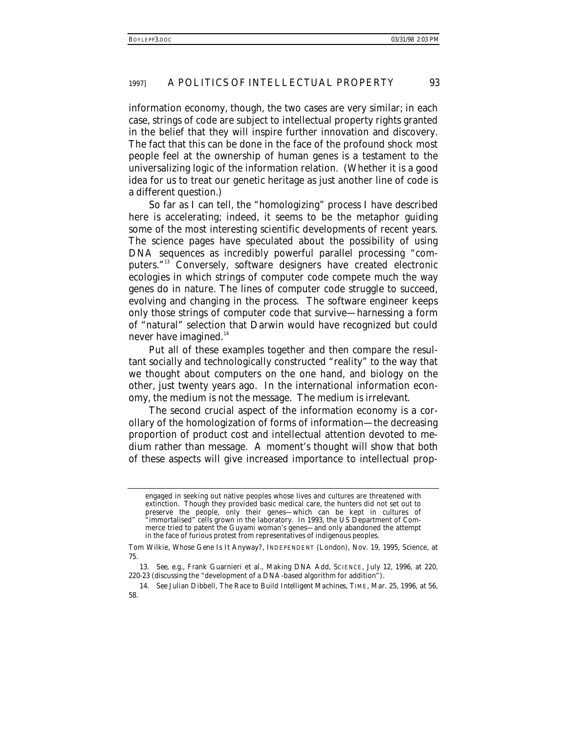information economy, though, the two cases are very similar; in each case, strings of code are subject to intellectual property rights granted in the belief that they will inspire further innovation and discovery. The fact that this can be done in the face of the profound shock most people feel at the ownership of human genes is a testament to the universalizing logic of the information relation. (Whether it is a good idea for us to treat our genetic heritage as just another line of code is a different question.)

So far as I can tell, the "homologizing" process I have described here is accelerating; indeed, it seems to be the metaphor guiding some of the most interesting scientific developments of recent years. The science pages have speculated about the possibility of using DNA sequences as incredibly powerful parallel processing "computers."13 Conversely, software designers have created electronic ecologies in which strings of computer code compete much the way genes do in nature. The lines of computer code struggle to succeed, evolving and changing in the process. The software engineer keeps only those strings of computer code that survive—harnessing a form of "natural" selection that Darwin would have recognized but could never have imagined.<sup>14</sup>

Put all of these examples together and then compare the resultant socially and technologically constructed "reality" to the way that we thought about computers on the one hand, and biology on the other, just twenty years ago. In the international information economy, the medium is not the message. The medium is *irrelevant*.

The second crucial aspect of the information economy is a corollary of the homologization of forms of information—the decreasing proportion of product cost and intellectual attention devoted to medium rather than message. A moment's thought will show that *both* of these aspects will give increased importance to intellectual prop-

engaged in seeking out native peoples whose lives and cultures are threatened with extinction. Though they provided basic medical care, the hunters did not set out to preserve the people, only their genes—which can be kept in cultures of "immortalised" cells grown in the laboratory. In 1993, the US Department of Commerce tried to patent the Guyami woman's genes—and only abandoned the attempt in the face of furious protest from representatives of indigenous peoples.

Tom Wilkie, *Whose Gene Is It Anyway?*, INDEPENDENT (London), Nov. 19, 1995, Science, at 75.

<sup>13</sup>*. See, e.g*., Frank Guarnieri et al., *Making DNA Add*, SCIENCE, July 12, 1996, at 220, 220-23 (discussing the "development of a DNA-based algorithm for addition").

<sup>14</sup>*. See* Julian Dibbell, *The Race to Build Intelligent Machines*, TIME, Mar. 25, 1996, at 56, 58.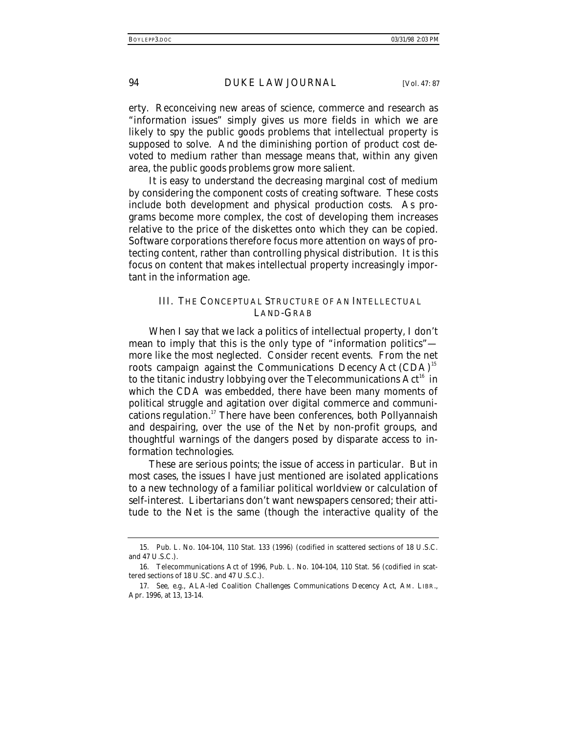erty. Reconceiving new areas of science, commerce and research as "information issues" simply gives us more fields in which we are likely to spy the public goods problems that intellectual property is supposed to solve. And the diminishing portion of product cost devoted to medium rather than message means that, within any given area, the public goods problems grow more salient.

It is easy to understand the decreasing marginal cost of medium by considering the component costs of creating software. These costs include both development and physical production costs. As programs become more complex, the cost of developing them increases relative to the price of the diskettes onto which they can be copied. Software corporations therefore focus more attention on ways of protecting content, rather than controlling physical distribution. It is this focus on content that makes intellectual property increasingly important in the information age.

# III. THE CONCEPTUAL STRUCTURE OF AN INTELLECTUAL LAND-GRAB

When I say that we lack a politics of intellectual property, I don't mean to imply that this is the only type of "information politics" more like the most neglected. Consider recent events. From the net roots campaign against the Communications Decency Act  $(CDA)^{15}$ to the titanic industry lobbying over the Telecommunications  $Act^{\prime\prime}$  in which the CDA was embedded, there have been many moments of political struggle and agitation over digital commerce and communications regulation.<sup>17</sup> There have been conferences, both Pollyannaish and despairing, over the use of the Net by non-profit groups, and thoughtful warnings of the dangers posed by disparate access to information technologies.

These are serious points; the issue of access in particular. But in most cases, the issues I have just mentioned are isolated applications to a new technology of a familiar political worldview or calculation of self-interest. Libertarians don't want newspapers censored; their attitude to the Net is the same (though the interactive quality of the

<sup>15.</sup> Pub. L. No. 104-104, 110 Stat. 133 (1996) (codified in scattered sections of 18 U.S.C. and 47 U.S.C.).

<sup>16.</sup> Telecommunications Act of 1996, Pub. L. No. 104-104, 110 Stat. 56 (codified in scattered sections of 18 U.SC. and 47 U.S.C.).

<sup>17</sup>*. See, e.g*., *ALA-led Coalition Challenges Communications Decency Act*, AM. LIBR., Apr. 1996, at 13, 13-14.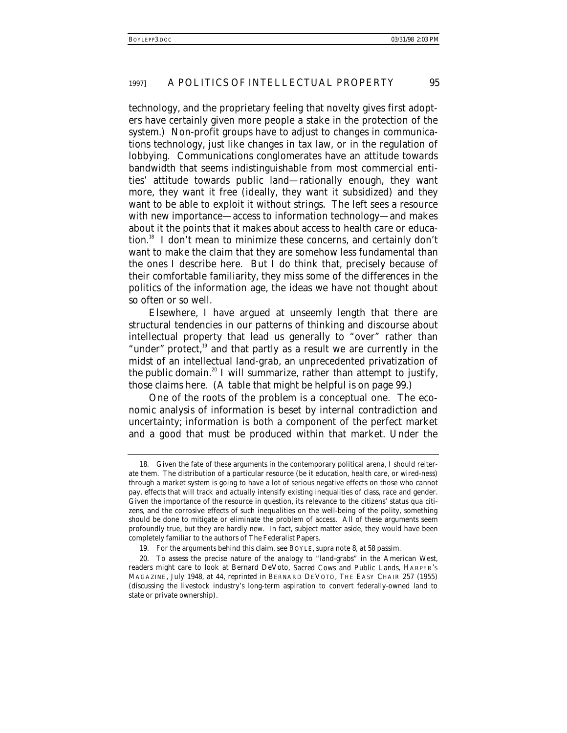technology, and the proprietary feeling that novelty gives first adopters have certainly given more people a stake in the protection of the system.) Non-profit groups have to adjust to changes in communications technology, just like changes in tax law, or in the regulation of lobbying. Communications conglomerates have an attitude towards bandwidth that seems indistinguishable from most commercial entities' attitude towards public land—rationally enough, they want more, they want it free (ideally, they want it subsidized) and they want to be able to exploit it without strings. The left sees a resource with new importance—access to information technology—and makes about it the points that it makes about access to health care or education.18 I don't mean to minimize these concerns, and certainly don't want to make the claim that they are somehow less fundamental than the ones I describe here. But I do think that, precisely because of their comfortable familiarity, they miss some of the *differences* in the politics of the information age, the ideas we have not thought about so often or so well.

Elsewhere, I have argued at unseemly length that there are structural tendencies in our patterns of thinking and discourse about intellectual property that lead us generally to "over" rather than "under" protect,<sup>19</sup> and that partly as a result we are currently in the midst of an intellectual land-grab, an unprecedented privatization of the public domain.<sup>20</sup> I will summarize, rather than attempt to justify, those claims here. (A table that might be helpful is on page 99.)

One of the roots of the problem is a conceptual one. The economic analysis of information is beset by internal contradiction and uncertainty; information is both a component of the perfect market and a good that must be produced within that market. Under the

<sup>18.</sup> Given the fate of these arguments in the contemporary political arena, I should reiterate them. The distribution of a particular resource (be it education, health care, or wired-ness) through a market system is going to have a lot of serious negative effects on those who cannot pay, effects that will track and actually intensify existing inequalities of class, race and gender. Given the importance of the resource in question, its relevance to the citizens' status *qua* citizens, and the corrosive effects of such inequalities on the well-being of the polity, something should be done to mitigate or eliminate the problem of access. All of these arguments seem profoundly true, but they are hardly new. In fact, subject matter aside, they would have been completely familiar to the authors of *The Federalist Papers*.

<sup>19.</sup> For the arguments behind this claim, see BOYLE, *supra* note 8, at 58 *passim*.

<sup>20.</sup> To assess the precise nature of the analogy to "land-grabs" in the American West, readers might care to look at Bernard DeVoto, *Sacred Cows and Public Lands*, HARPER'S MAGAZINE, July 1948, at 44, *reprinted in* BERNARD DEVOTO, THE EASY CHAIR 257 (1955) (discussing the livestock industry's long-term aspiration to convert federally-owned land to state or private ownership).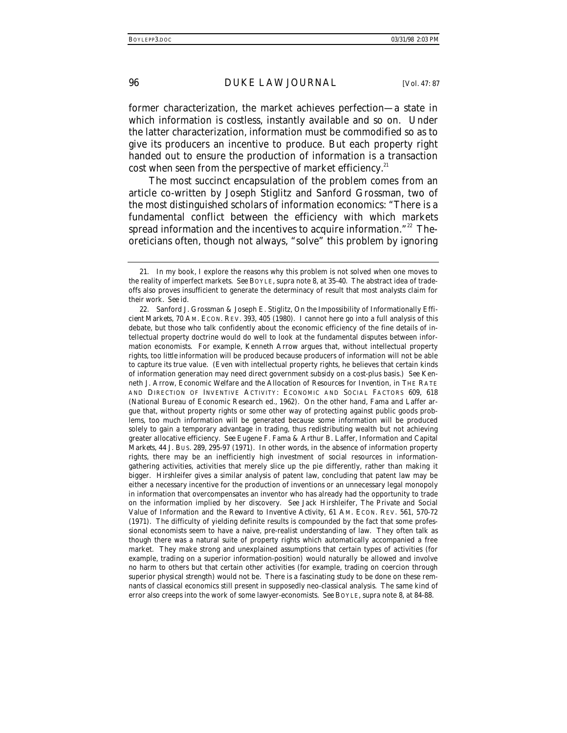former characterization, the market achieves perfection—a state in which information is costless, instantly available and so on. Under the latter characterization, information must be commodified so as to give its producers an incentive to produce. But each property right handed out to ensure the production of information is a transaction cost when seen from the perspective of market efficiency.<sup>21</sup>

The most succinct encapsulation of the problem comes from an article co-written by Joseph Stiglitz and Sanford Grossman, two of the most distinguished scholars of information economics: "There is a fundamental conflict between the efficiency with which markets spread information and the incentives to acquire information."<sup>22</sup> Theoreticians often, though not always, "solve" this problem by ignoring

<sup>21.</sup> In my book, I explore the reasons why this problem is not solved when one moves to the reality of imperfect markets. *See* BOYLE, *supra* note 8, at 35-40. The abstract idea of tradeoffs also proves insufficient to generate the determinacy of result that most analysts claim for their work. *See id*.

<sup>22.</sup> Sanford J. Grossman & Joseph E. Stiglitz, *On the Impossibility of Informationally Efficient Markets*, 70 AM. ECON. REV. 393, 405 (1980). I cannot here go into a full analysis of this debate, but those who talk confidently about the economic efficiency of the fine details of intellectual property doctrine would do well to look at the fundamental disputes between information economists. For example, Kenneth Arrow argues that, without intellectual property rights, too *little* information will be produced because producers of information will not be able to capture its true value. (Even with intellectual property rights, he believes that certain kinds of information generation may need direct government subsidy on a cost-plus basis.) *See* Kenneth J. Arrow, *Economic Welfare and the Allocation of Resources for Invention*, *in* THE RATE AND DIRECTION OF INVENTIVE ACTIVITY: ECONOMIC AND SOCIAL FACTORS 609, 618 (National Bureau of Economic Research ed., 1962). On the other hand, Fama and Laffer argue that, without property rights or some other way of protecting against public goods problems, too *much* information will be generated because some information will be produced solely to gain a temporary advantage in trading, thus redistributing wealth but not achieving greater allocative efficiency. *See* Eugene F. Fama & Arthur B. Laffer, *Information and Capital Markets*, 44 J. BUS. 289, 295-97 (1971). In other words, in the absence of information property rights, there may be an inefficiently *high* investment of social resources in informationgathering activities, activities that merely slice up the pie differently, rather than making it bigger. Hirshleifer gives a similar analysis of patent law, concluding that patent law may be either a necessary incentive for the production of inventions or an unnecessary legal monopoly in information that overcompensates an inventor who has already had the opportunity to trade on the information implied by her discovery. *See* Jack Hirshleifer, *The Private and Social Value of Information and the Reward to Inventive Activity*, 61 AM. ECON. REV. 561, 570-72 (1971). The difficulty of yielding definite results is compounded by the fact that some professional economists seem to have a naive, pre-realist understanding of law. They often talk as though there was a natural suite of property rights which automatically accompanied a free market. They make strong and unexplained assumptions that certain types of activities (for example, trading on a superior information-position) would naturally be allowed and involve no harm to others but that certain other activities (for example, trading on coercion through superior physical strength) would not be. There is a fascinating study to be done on these remnants of classical economics still present in supposedly neo-classical analysis. The same kind of error also creeps into the work of some lawyer-economists. *See* BOYLE, *supra* note 8, at 84-88.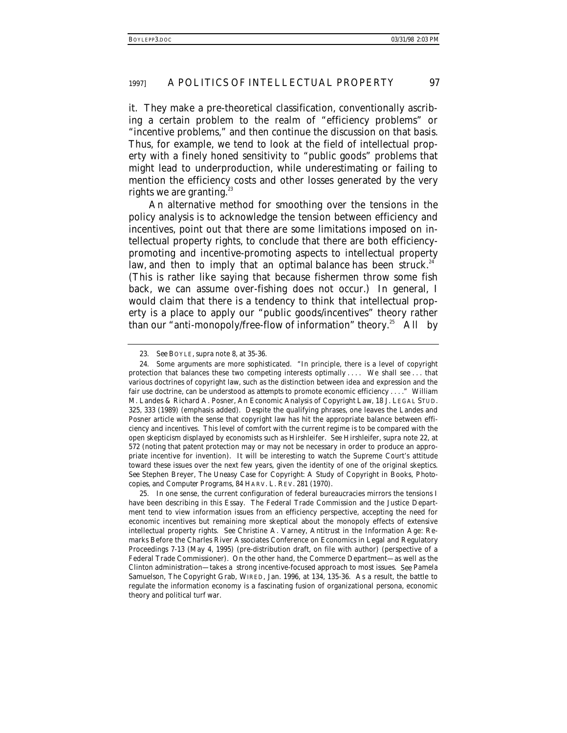it. They make a pre-theoretical classification, conventionally ascribing a certain problem to the realm of "efficiency problems" or "incentive problems," and then continue the discussion on that basis. Thus, for example, we tend to look at the field of intellectual property with a finely honed sensitivity to "public goods" problems that might lead to underproduction, while underestimating or failing to mention the efficiency costs and other losses generated by the very rights we are granting. $2<sup>23</sup>$ 

An alternative method for smoothing over the tensions in the policy analysis is to acknowledge the tension between efficiency and incentives, point out that there are some limitations imposed on intellectual property rights, to conclude that there are both efficiencypromoting and incentive-promoting aspects to intellectual property law, and then to imply that an optimal balance has been struck.<sup>24</sup> (This is rather like saying that because fishermen throw some fish back, we can assume over-fishing does not occur.) In general, I would claim that there is a tendency to think that intellectual property is a place to apply our "public goods/incentives" theory rather than our "anti-monopoly/free-flow of information" theory.<sup>25</sup> All by

<sup>23</sup>*. See* BOYLE, *supra* note 8, at 35-36.

<sup>24.</sup> Some arguments are more sophisticated. "In principle, there is a level of copyright protection that balances these two competing interests optimally . . . . We shall see . . . that various doctrines of copyright law, such as the distinction between idea and expression and the fair use doctrine, can be understood as *attempts* to promote economic efficiency . . . ." William M. Landes & Richard A. Posner, *An Economic Analysis of Copyright Law*, 18 J. LEGAL STUD. 325, 333 (1989) (emphasis added). Despite the qualifying phrases, one leaves the Landes and Posner article with the sense that copyright law has hit the appropriate balance between efficiency and incentives. This level of comfort with the current regime is to be compared with the open skepticism displayed by economists such as Hirshleifer. *See* Hirshleifer, *supra* note 22, at 572 (noting that patent protection may or may not be necessary in order to produce an appropriate incentive for invention). It will be interesting to watch the Supreme Court's attitude toward these issues over the next few years, given the identity of one of the original skeptics. *See* Stephen Breyer, *The Uneasy Case for Copyright: A Study of Copyright in Books, Photocopies, and Computer Programs*, 84 HARV. L. REV. 281 (1970).

<sup>25.</sup> In one sense, the current configuration of federal bureaucracies mirrors the tensions I have been describing in this Essay. The Federal Trade Commission and the Justice Department tend to view information issues from an efficiency perspective, accepting the need for economic incentives but remaining more skeptical about the monopoly effects of extensive intellectual property rights. *See* Christine A. Varney, Antitrust in the Information Age: Remarks Before the Charles River Associates Conference on Economics in Legal and Regulatory Proceedings 7-13 (May 4, 1995) (pre-distribution draft, on file with author) (perspective of a Federal Trade Commissioner). On the other hand, the Commerce Department—as well as the Clinton administration—takes a strong incentive-focused approach to most issues. *See* Pamela Samuelson, *The Copyright Grab*, WIRED, Jan. 1996, at 134, 135-36. As a result, the battle to regulate the information economy is a fascinating fusion of organizational persona, economic theory and political turf war.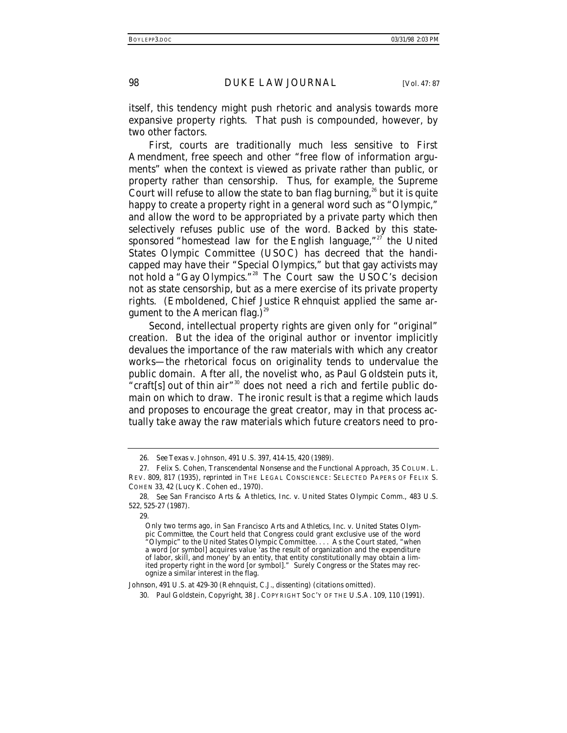itself, this tendency might push rhetoric and analysis towards more expansive property rights. That push is compounded, however, by two other factors.

First, courts are traditionally much less sensitive to First Amendment, free speech and other "free flow of information arguments" when the context is viewed as private rather than public, or property rather than censorship. Thus, for example, the Supreme Court will refuse to allow the state to ban flag burning, $^{26}$  but it is quite happy to create a property right in a general word such as "Olympic," and allow the word to be appropriated by a private party which then selectively refuses public use of the word. Backed by this statesponsored "homestead law for the English language,"<sup>27</sup> the United States Olympic Committee (USOC) has decreed that the handicapped may have their "Special Olympics," but that gay activists may not hold a "Gay Olympics."<sup>28</sup> The Court saw the USOC's decision not as state censorship, but as a mere exercise of its private property rights. (Emboldened, Chief Justice Rehnquist applied the same argument to the American flag.)<sup>29</sup>

Second, intellectual property rights are given only for "original" creation. But the idea of the original author or inventor implicitly devalues the importance of the raw materials with which any creator works—the rhetorical focus on originality tends to undervalue the public domain. After all, the novelist who, as Paul Goldstein puts it, "craft[s] out of thin air"<sup>30</sup> does not need a rich and fertile public domain on which to draw. The ironic result is that a regime which lauds and proposes to encourage the great creator, may in that process actually take away the raw materials which future creators need to pro-

*Johnson*, 491 U.S. at 429-30 (Rehnquist, C.J., dissenting) (citations omitted).

30. Paul Goldstein, *Copyright*, 38 J. COPYRIGHT SOC'Y OF THE U.S.A. 109, 110 (1991).

<sup>26</sup>*. See* Texas v. Johnson, 491 U.S. 397, 414-15, 420 (1989).

<sup>27.</sup> Felix S. Cohen, *Transcendental Nonsense and the Functional Approach*, 35 COLUM. L. REV. 809, 817 (1935), *reprinted in* THE LEGAL CONSCIENCE: SELECTED PAPERS OF FELIX S. COHEN 33, 42 (Lucy K. Cohen ed., 1970).

<sup>28</sup>*. See* San Francisco Arts & Athletics, Inc. v. United States Olympic Comm., 483 U.S. 522, 525-27 (1987).

<sup>29.</sup>

Only two terms ago, in *San Francisco Arts and Athletics, Inc. v. United States Olympic Committee*, the Court held that Congress could grant exclusive use of the word "Olympic" to the United States Olympic Committee. . . . As the Court stated, "when a word [or symbol] acquires value 'as the result of organization and the expenditure of labor, skill, and money' by an entity, that entity constitutionally may obtain a limited property right in the word [or symbol]." Surely Congress or the States may recognize a similar interest in the flag.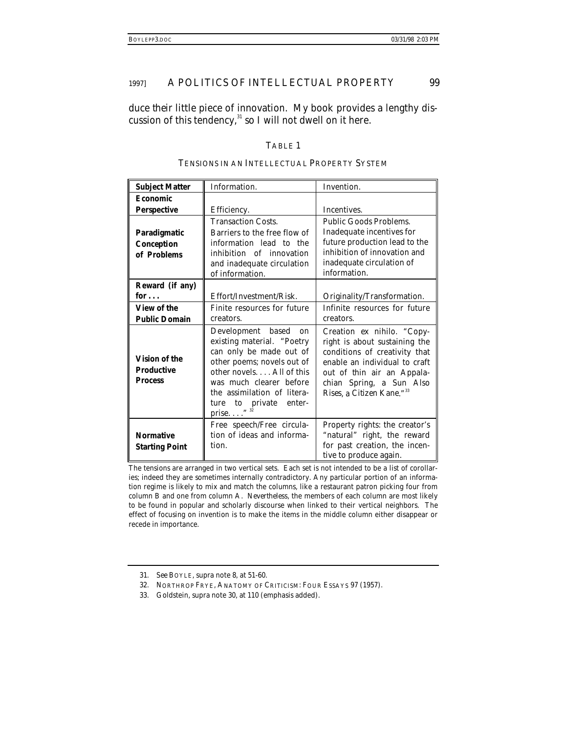duce *their* little piece of innovation. My book provides a lengthy discussion of this tendency, $31$  so I will not dwell on it here.

### TABLE 1

## TENSIONS IN AN INTELLECTUAL PROPERTY SYSTEM

| <b>Subject Matter</b>                                | Information.                                                                                                                                                                                                                                                   | Invention.                                                                                                                                                                                                                       |
|------------------------------------------------------|----------------------------------------------------------------------------------------------------------------------------------------------------------------------------------------------------------------------------------------------------------------|----------------------------------------------------------------------------------------------------------------------------------------------------------------------------------------------------------------------------------|
| <b>Economic</b>                                      |                                                                                                                                                                                                                                                                |                                                                                                                                                                                                                                  |
| <b>Perspective</b>                                   | Efficiency.                                                                                                                                                                                                                                                    | Incentives.                                                                                                                                                                                                                      |
|                                                      | <b>Transaction Costs.</b>                                                                                                                                                                                                                                      | <b>Public Goods Problems.</b>                                                                                                                                                                                                    |
| Paradigmatic                                         | Barriers to the free flow of                                                                                                                                                                                                                                   | Inadequate incentives for                                                                                                                                                                                                        |
| <b>Conception</b>                                    | information lead to the                                                                                                                                                                                                                                        | future production lead to the                                                                                                                                                                                                    |
| of Problems                                          | inhibition of innovation                                                                                                                                                                                                                                       | inhibition of innovation and                                                                                                                                                                                                     |
|                                                      | and inadequate circulation                                                                                                                                                                                                                                     | inadequate circulation of                                                                                                                                                                                                        |
|                                                      | of information.                                                                                                                                                                                                                                                | information.                                                                                                                                                                                                                     |
| Reward (if any)                                      |                                                                                                                                                                                                                                                                |                                                                                                                                                                                                                                  |
| for $\dots$                                          | Effort/Investment/Risk.                                                                                                                                                                                                                                        | Originality/Transformation.                                                                                                                                                                                                      |
| <b>View of the</b>                                   | Finite resources for future                                                                                                                                                                                                                                    | Infinite resources for future                                                                                                                                                                                                    |
| <b>Public Domain</b>                                 | creators.                                                                                                                                                                                                                                                      | creators.                                                                                                                                                                                                                        |
| Vision of the<br><b>Productive</b><br><b>Process</b> | Development based<br>on<br>existing material. "Poetry<br>can only be made out of<br>other poems; novels out of<br>other novels All of this<br>was much clearer before<br>the assimilation of litera-<br>to private<br>enter-<br>ture<br>$prise. \ldots$ " $32$ | Creation ex nihilo. "Copy-<br>right is about sustaining the<br>conditions of creativity that<br>enable an individual to craft<br>out of thin air an Appala-<br>chian Spring, a Sun Also<br>Rises, a Citizen Kane." <sup>33</sup> |
|                                                      | Free speech/Free circula-                                                                                                                                                                                                                                      | Property rights: the creator's                                                                                                                                                                                                   |
| <b>Normative</b>                                     | tion of ideas and informa-                                                                                                                                                                                                                                     | "natural" right, the reward                                                                                                                                                                                                      |
| <b>Starting Point</b>                                | tion.                                                                                                                                                                                                                                                          | for past creation, the incen-                                                                                                                                                                                                    |
|                                                      |                                                                                                                                                                                                                                                                | tive to produce again.                                                                                                                                                                                                           |

The tensions are arranged in two vertical sets. Each set is not intended to be a list of corollaries; indeed they are sometimes internally contradictory. Any particular portion of an information regime is likely to mix and match the columns, like a restaurant patron picking four from column B and one from column A. *Nevertheless*, the members of each column are most likely to be found in popular and scholarly discourse when linked to their vertical neighbors. The effect of focusing on invention is to make the items in the middle column either disappear or recede in importance.

<sup>31</sup>*. See* BOYLE, *supra* note 8, at 51-60.

<sup>32.</sup> NORTHROP FRYE, ANATOMY OF CRITICISM: FOUR ESSAYS 97 (1957).

<sup>33.</sup> Goldstein, *supra* note 30, at 110 (emphasis added).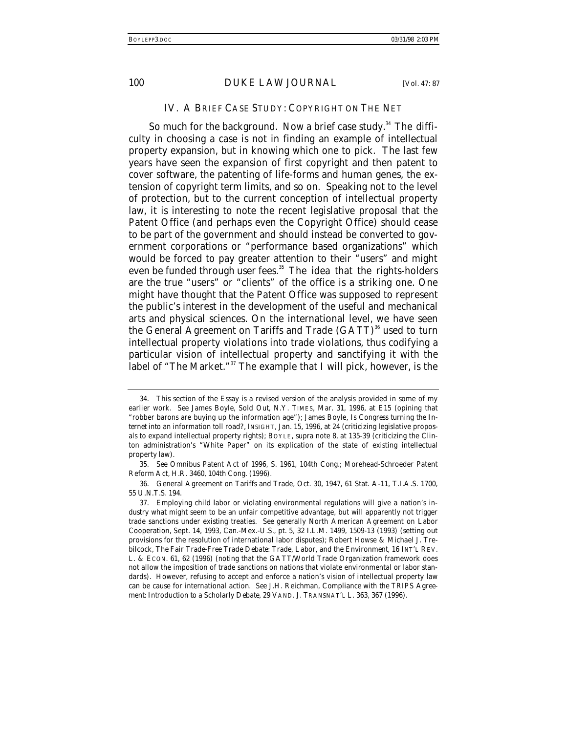## IV. A BRIEF CASE STUDY: COPYRIGHT ON THE NET

So much for the background. Now a brief case study. $34$  The difficulty in choosing a case is not in finding an example of intellectual property expansion, but in knowing which one to pick. The last few years have seen the expansion of first copyright and then patent to cover software, the patenting of life-forms and human genes, the extension of copyright term limits, and so on. Speaking not to the level of protection, but to the current conception of intellectual property law, it is interesting to note the recent legislative proposal that the Patent Office (and perhaps even the Copyright Office) should cease to be part of the government and should instead be converted to government corporations or "performance based organizations" which would be forced to pay greater attention to their "users" and might even be funded through user fees.<sup>35</sup> The idea that the rights-holders are the true "users" or "clients" of the office is a striking one. One might have thought that the Patent Office was supposed to represent the *public's* interest in the development of the useful and mechanical arts and physical sciences. On the international level, we have seen the General Agreement on Tariffs and Trade  $(GATT)^{36}$  used to turn intellectual property violations into trade violations, thus codifying a particular vision of intellectual property and sanctifying it with the label of "The Market."<sup>37</sup> The example that I will pick, however, is the

<sup>34.</sup> This section of the Essay is a revised version of the analysis provided in some of my earlier work. *See* James Boyle, *Sold Out*, N.Y. TIMES, Mar. 31, 1996, at E15 (opining that "robber barons are buying up the information age"); James Boyle, *Is Congress turning the Internet into an information toll road?*, INSIGHT, Jan. 15, 1996, at 24 (criticizing legislative proposals to expand intellectual property rights); BOYLE, *supra* note 8, at 135-39 (criticizing the Clinton administration's "White Paper" on its explication of the state of existing intellectual property law).

<sup>35</sup>*. See* Omnibus Patent Act of 1996, S. 1961, 104th Cong.; Morehead-Schroeder Patent Reform Act, H.R. 3460, 104th Cong. (1996).

<sup>36.</sup> General Agreement on Tariffs and Trade, Oct. 30, 1947, 61 Stat. A-11, T.I.A.S. 1700, 55 U.N.T.S. 194.

<sup>37.</sup> Employing child labor or violating environmental regulations will give a nation's industry what might seem to be an unfair competitive advantage, but will apparently not trigger trade sanctions under existing treaties. *See generally* North American Agreement on Labor Cooperation, Sept. 14, 1993, Can.-Mex.-U.S., pt. 5, 32 I.L.M. 1499, 1509-13 (1993) (setting out provisions for the resolution of international labor disputes); Robert Howse & Michael J. Trebilcock, *The Fair Trade-Free Trade Debate: Trade, Labor, and the Environment*, 16 INT'L REV. L. & ECON. 61, 62 (1996) (noting that the GATT/World Trade Organization framework does not allow the imposition of trade sanctions on nations that violate environmental or labor standards). However, refusing to accept and enforce a nation's vision of intellectual property law can be cause for international action. *See* J.H. Reichman, *Compliance with the TRIPS Agreement: Introduction to a Scholarly Debate*, 29 VAND. J. TRANSNAT'L L. 363, 367 (1996).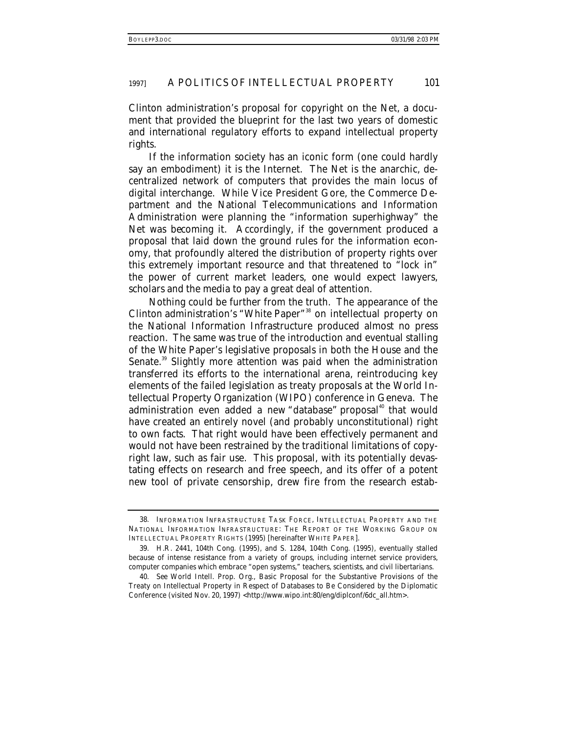Clinton administration's proposal for copyright on the Net, a document that provided the blueprint for the last two years of domestic and international regulatory efforts to expand intellectual property rights.

If the information society has an iconic form (one could hardly say an embodiment) it is the Internet. The Net is the anarchic, decentralized network of computers that provides the main locus of digital interchange. While Vice President Gore, the Commerce Department and the National Telecommunications and Information Administration were *planning* the "information superhighway" the Net was *becoming* it. Accordingly, if the government produced a proposal that laid down the ground rules for the information economy, that profoundly altered the distribution of property rights over this extremely important resource and that threatened to "lock in" the power of current market leaders, one would expect lawyers, scholars and the media to pay a great deal of attention.

Nothing could be further from the truth. The appearance of the Clinton administration's "White Paper"<sup>38</sup> on intellectual property on the National Information Infrastructure produced almost no press reaction. The same was true of the introduction and eventual stalling of the White Paper's legislative proposals in both the House and the Senate.<sup>39</sup> Slightly more attention was paid when the administration transferred its efforts to the international arena, reintroducing key elements of the failed legislation as treaty proposals at the World Intellectual Property Organization (WIPO) conference in Geneva. The administration even added a new "database" proposal<sup>40</sup> that would have created an entirely novel (and probably unconstitutional) right to own *facts*. That right would have been effectively permanent and would not have been restrained by the traditional limitations of copyright law, such as fair use. This proposal, with its potentially devastating effects on research and free speech, and its offer of a potent new tool of private censorship, drew fire from the research estab-

<sup>38.</sup> INFORMATION INFRASTRUCTURE TASK FORCE, INTELLECTUAL PROPERTY AND THE NATIONAL INFORMATION INFRASTRUCTURE: THE REPORT OF THE WORKING GROUP ON INTELLECTUAL PROPERTY RIGHTS (1995) [hereinafter WHITE PAPER].

<sup>39.</sup> H.R. 2441, 104th Cong. (1995), and S. 1284, 104th Cong. (1995), eventually stalled because of intense resistance from a variety of groups, including internet service providers, computer companies which embrace "open systems," teachers, scientists, and civil libertarians.

<sup>40</sup>*. See* World Intell. Prop. Org., Basic Proposal for the Substantive Provisions of the Treaty on Intellectual Property in Respect of Databases to Be Considered by the Diplomatic Conference (visited Nov. 20, 1997) <http://www.wipo.int:80/eng/diplconf/6dc\_all.htm>.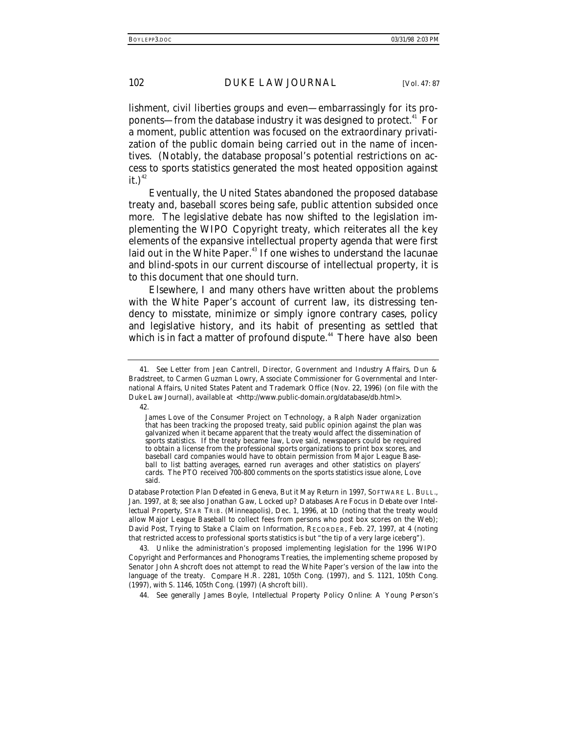lishment, civil liberties groups and even—embarrassingly for its proponents—from the database industry it was designed to protect.<sup>41</sup> For a moment, public attention was focused on the extraordinary privatization of the public domain being carried out in the name of incentives. (Notably, the database proposal's potential restrictions on access to sports statistics generated the most heated opposition against it.) $42$ 

Eventually, the United States abandoned the proposed database treaty and, baseball scores being safe, public attention subsided once more. The legislative debate has now shifted to the legislation implementing the WIPO Copyright treaty, which reiterates all the key elements of the expansive intellectual property agenda that were first laid out in the White Paper.<sup>43</sup> If one wishes to understand the lacunae and blind-spots in our current discourse of intellectual property, it is to this document that one should turn.

Elsewhere, I and many others have written about the problems with the White Paper's account of current law, its distressing tendency to misstate, minimize or simply ignore contrary cases, policy and legislative history, and its habit of presenting as settled that which is in fact a matter of profound dispute.<sup>44</sup> There have also been

44*. See generally* James Boyle, *Intellectual Property Policy Online: A Young Person's*

<sup>41</sup>*. See* Letter from Jean Cantrell, Director, Government and Industry Affairs, Dun & Bradstreet, to Carmen Guzman Lowry, Associate Commissioner for Governmental and International Affairs, United States Patent and Trademark Office (Nov. 22, 1996) (on file with the *Duke Law Journal*), *available at* <http://www.public-domain.org/database/db.html>.

<sup>42.</sup>

James Love of the Consumer Project on Technology, a Ralph Nader organization that has been tracking the proposed treaty, said public opinion against the plan was galvanized when it became apparent that the treaty would affect the dissemination of sports statistics. If the treaty became law, Love said, newspapers could be required to obtain a license from the professional sports organizations to print box scores, and baseball card companies would have to obtain permission from Major League Baseball to list batting averages, earned run averages and other statistics on players' cards. The PTO received 700-800 comments on the sports statistics issue alone, Love said.

*Database Protection Plan Defeated in Geneva, But it May Return in 1997*, SOFTWARE L. BULL., Jan. 1997, at 8; *see also* Jonathan Gaw, *Locked up? Databases Are Focus in Debate over Intellectual Property*, STAR TRIB. (Minneapolis), Dec. 1, 1996, at 1D (noting that the treaty would allow Major League Baseball to collect fees from persons who post box scores on the Web); David Post, *Trying to Stake a Claim on Information*, RECORDER, Feb. 27, 1997, at 4 (noting that restricted access to professional sports statistics is but "the tip of a very large iceberg").

<sup>43.</sup> Unlike the administration's proposed implementing legislation for the 1996 WIPO Copyright and Performances and Phonograms Treaties, the implementing scheme proposed by Senator John Ashcroft does not attempt to read the White Paper's version of the law into the language of the treaty. *Compare* H.R. 2281, 105th Cong. (1997), *and* S. 1121, 105th Cong. (1997), *with* S. 1146, 105th Cong. (1997) (Ashcroft bill).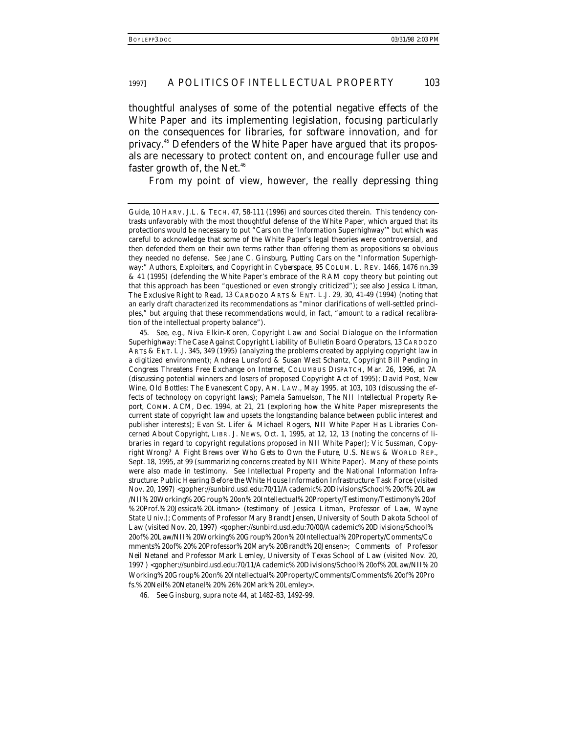thoughtful analyses of some of the potential negative *effects* of the White Paper and its implementing legislation, focusing particularly on the consequences for libraries, for software innovation, and for privacy.45 Defenders of the White Paper have argued that its proposals are necessary to protect content on, and encourage fuller use and faster growth of, the Net. $46$ 

From my point of view, however, the really depressing thing

45*. See, e.g*., Niva Elkin-Koren, *Copyright Law and Social Dialogue on the Information Superhighway: The Case Against Copyright Liability of Bulletin Board Operators*, 13 CARDOZO ARTS & ENT. L.J. 345, 349 (1995) (analyzing the problems created by applying copyright law in a digitized environment); Andrea Lunsford & Susan West Schantz, *Copyright Bill Pending in Congress Threatens Free Exchange on Internet*, COLUMBUS DISPATCH, Mar. 26, 1996, at 7A (discussing potential winners and losers of proposed Copyright Act of 1995); David Post, *New Wine, Old Bottles: The Evanescent Copy*, AM. LAW., May 1995, at 103, 103 (discussing the effects of technology on copyright laws); Pamela Samuelson, *The NII Intellectual Property Report*, COMM. ACM, Dec. 1994, at 21, 21 (exploring how the White Paper misrepresents the current state of copyright law and upsets the longstanding balance between public interest and publisher interests); Evan St. Lifer & Michael Rogers, *NII White Paper Has Libraries Concerned About Copyright*, LIBR. J. NEWS, Oct. 1, 1995, at 12, 12, 13 (noting the concerns of libraries in regard to copyright regulations proposed in NII White Paper); Vic Sussman, *Copyright Wrong? A Fight Brews over Who Gets to Own the Future*, U.S. NEWS & WORLD REP., Sept. 18, 1995, at 99 (summarizing concerns created by NII White Paper). Many of these points were also made in testimony. *See Intellectual Property and the National Information Infrastructure: Public Hearing Before the White House Information Infrastructure Task Force* (visited Nov. 20, 1997) <gopher://sunbird.usd.edu:70/11/Academic%20Divisions/School%20of%20Law /NII%20Working%20Group%20on%20Intellectual%20Property/Testimony/Testimony%20of %20Prof.%20Jessica%20Litman> (testimony of Jessica Litman, Professor of Law, Wayne State Univ.); *Comments of Professor Mary Brandt Jensen, University of South Dakota School of* Law (visited Nov. 20, 1997) <gopher://sunbird.usd.edu:70/00/Academic%20Divisions/School% 20of%20Law/NII%20Working%20Group%20on%20Intellectual%20Property/Comments/Co mments%20of%20%20Professor%20Mary%20Brandt%20Jensen>; *Comments of Professor Neil Netanel and Professor Mark Lemley*, *University of Texas School of Law* (visited Nov. 20, 1997 ) <gopher://sunbird.usd.edu:70/11/Academic%20Divisions/School%20of%20Law/NII%20 Working%20Group%20on%20Intellectual%20Property/Comments/Comments%20of%20Pro fs.%20Neil%20Netanel%20%26%20Mark%20Lemley>.

46*. See* Ginsburg, *supra* note 44, at 1482-83, 1492-99.

*Guide*, 10 HARV. J.L. & TECH. 47, 58-111 (1996) and sources cited therein. This tendency contrasts unfavorably with the most thoughtful defense of the White Paper, which argued that its protections would be necessary to put "Cars on the 'Information Superhighway'" but which was careful to acknowledge that some of the White Paper's legal theories were controversial, and then defended them on their own terms rather than offering them as propositions so obvious they needed no defense. *See* Jane C. Ginsburg, *Putting Cars on the "Information Superhighway:" Authors, Exploiters, and Copyright in Cyberspace*, 95 COLUM. L. REV. 1466, 1476 nn.39 & 41 (1995) (defending the White Paper's embrace of the RAM copy theory but pointing out that this approach has been "questioned or even strongly criticized"); *see also* Jessica Litman, *The Exclusive Right to Read*, 13 CARDOZO ARTS & ENT. L.J. 29, 30, 41-49 (1994) (noting that an early draft characterized its recommendations as "minor clarifications of well-settled principles," but arguing that these recommendations would, in fact, "amount to a radical recalibration of the intellectual property balance").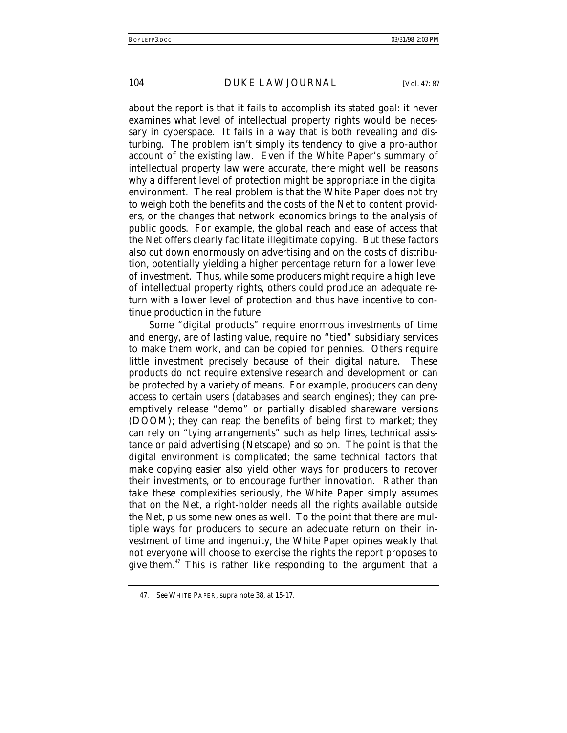about the report is that it fails to accomplish its stated goal: it never examines what level of intellectual property rights would be necessary in cyberspace. It fails in a way that is both revealing and disturbing. The problem isn't simply its tendency to give a pro-author account of the existing law. Even if the White Paper's summary of intellectual property law were accurate, there might well be reasons why a different level of protection might be appropriate in the digital environment. The real problem is that the White Paper does not try to weigh both the benefits and the costs of the Net to content providers, or the changes that network economics brings to the analysis of public goods. For example, the global reach and ease of access that the Net offers clearly facilitate illegitimate copying. But these factors also cut down enormously on advertising and on the costs of distribution, potentially yielding a higher percentage return for a lower level of investment. Thus, while some producers might require a high level of intellectual property rights, others could produce an adequate return with a lower level of protection and thus have incentive to continue production in the future.

Some "digital products" require enormous investments of time and energy, are of lasting value, require no "tied" subsidiary services to make them work, and can be copied for pennies. Others require little investment precisely because of their digital nature. These products do not require extensive research and development or can be protected by a variety of means. For example, producers can deny access to certain users (databases and search engines); they can preemptively release "demo" or partially disabled shareware versions (DOOM); they can reap the benefits of being first to market; they can rely on "tying arrangements" such as help lines, technical assistance or paid advertising (Netscape) and so on. The point is that the digital environment is *complicated*; the same technical factors that make copying easier also yield other ways for producers to recover their investments, or to encourage further innovation. Rather than take these complexities seriously, the White Paper simply assumes that on the Net, a right-holder needs all the rights available outside the Net, plus some new ones as well. To the point that there are multiple ways for producers to secure an adequate return on their investment of time and ingenuity, the White Paper opines weakly that not everyone will choose to exercise the rights the report proposes to give them.<sup>47</sup> This is rather like responding to the argument that a

<sup>47</sup>*. See* WHITE PAPER, *supra* note 38, at 15-17.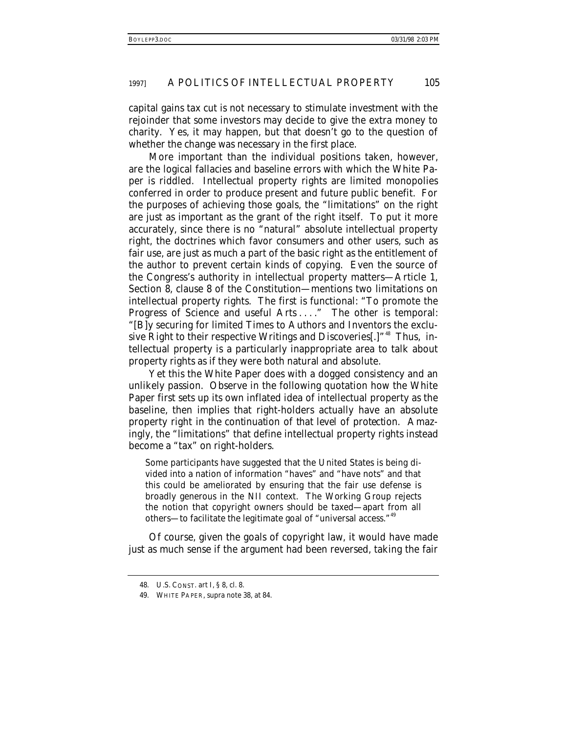capital gains tax cut is not necessary to stimulate investment with the rejoinder that some investors may decide to give the extra money to charity. Yes, it may happen, but that doesn't go to the question of whether the change was necessary in the first place.

More important than the individual positions taken, however, are the logical fallacies and baseline errors with which the White Paper is riddled. Intellectual property rights are limited monopolies conferred in order to produce present and future public benefit. For the purposes of achieving those goals, the "limitations" on the right are just as important as the grant of the right itself. To put it more accurately, since there is no "natural" absolute intellectual property right, the doctrines which favor consumers and other users, such as fair use, are just as much a part of the basic right as the entitlement of the author to prevent certain kinds of copying. Even the source of the Congress's authority in intellectual property matters—Article 1, Section 8, clause 8 of the Constitution—mentions two limitations on intellectual property rights. The first is functional: "To promote the Progress of Science and useful Arts . . . ." The other is temporal: "[B]y securing for limited Times to Authors and Inventors the exclusive Right to their respective Writings and Discoveries[.]"<sup>48</sup> Thus, intellectual property is a particularly inappropriate area to talk about property rights as if they were both natural and absolute.

Yet this the White Paper does with a dogged consistency and an unlikely passion. Observe in the following quotation how the White Paper first sets up its own inflated idea of intellectual property as the baseline, then implies that right-holders actually have an absolute property right *in the continuation of that level of protection*. Amazingly, the "limitations" that define intellectual property rights instead become a "tax" on right-holders.

Some participants have suggested that the United States is being divided into a nation of information "haves" and "have nots" and that this could be ameliorated by ensuring that the fair use defense is broadly generous in the NII context. The Working Group rejects the notion that copyright owners should be taxed—apart from all others—to facilitate the legitimate goal of "universal access."<sup>49</sup>

Of course, given the goals of copyright law, it would have made just as much sense if the argument had been reversed, taking the fair

<sup>48.</sup> U.S. CONST. art I, § 8, cl. 8.

<sup>49.</sup> WHITE PAPER, *supra* note 38, at 84.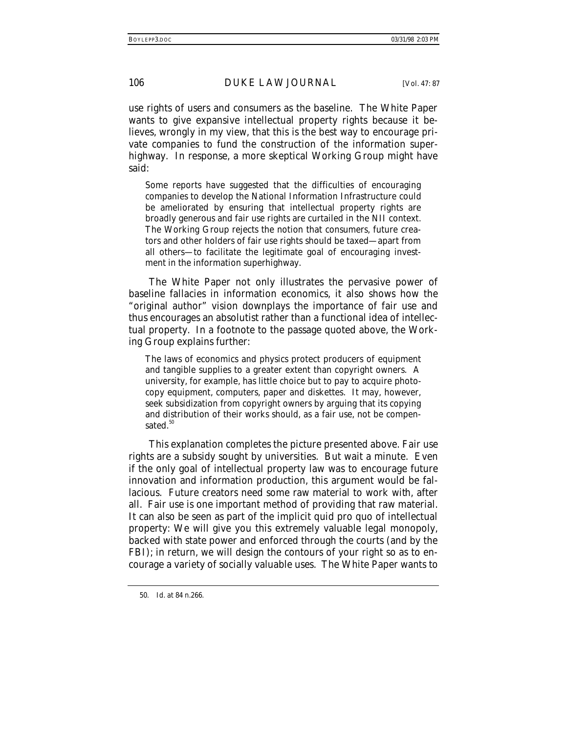use rights of users and consumers as the baseline. The White Paper wants to give expansive intellectual property rights because it believes, wrongly in my view, that this is the best way to encourage private companies to fund the construction of the information superhighway. In response, a more skeptical Working Group might have said:

Some reports have suggested that the difficulties of encouraging companies to develop the National Information Infrastructure could be ameliorated by ensuring that intellectual property rights are broadly generous and fair use rights are curtailed in the NII context. The Working Group rejects the notion that consumers, future creators and other holders of fair use rights should be taxed—apart from all others—to facilitate the legitimate goal of encouraging investment in the information superhighway.

The White Paper not only illustrates the pervasive power of baseline fallacies in information economics, it also shows how the "original author" vision downplays the importance of fair use and thus encourages an absolutist rather than a functional idea of intellectual property. In a footnote to the passage quoted above, the Working Group explains further:

The laws of economics and physics protect producers of equipment and tangible supplies to a greater extent than copyright owners. A university, for example, has little choice but to pay to acquire photocopy equipment, computers, paper and diskettes. It may, however, seek subsidization from copyright owners by arguing that its copying and distribution of their works should, as a fair use, not be compensated. $50$ 

This explanation completes the picture presented above. Fair use rights are a subsidy sought by universities. But wait a minute. Even if the *only* goal of intellectual property law was to encourage future innovation and information production, this argument would be fallacious. Future creators need some raw material to work *with*, after all. Fair use is one important method of providing that raw material. It can also be seen as part of the implicit quid pro quo of intellectual property: We will give you this extremely valuable legal monopoly, backed with state power and enforced through the courts (and by the FBI); in return, we will design the contours of your right so as to encourage a variety of socially valuable uses. The White Paper wants to

<sup>50</sup>*. Id*. at 84 n.266.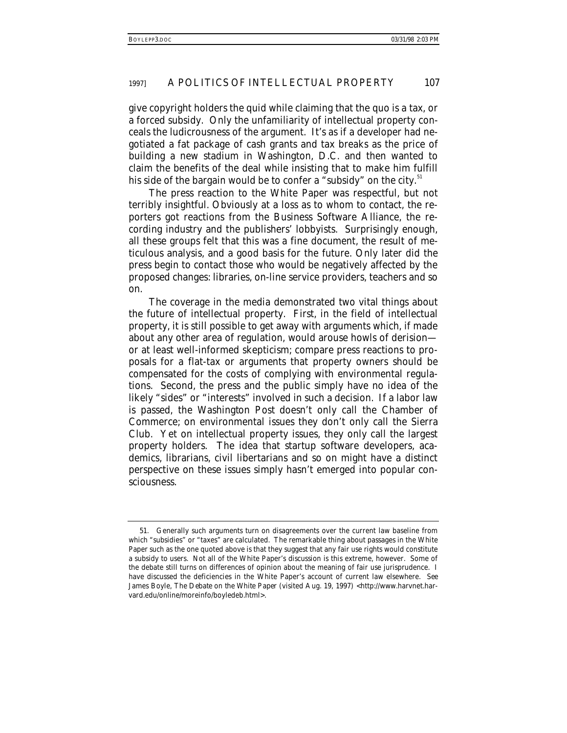give copyright holders the *quid* while claiming that the *quo* is a tax, or a forced subsidy. Only the unfamiliarity of intellectual property conceals the ludicrousness of the argument. It's as if a developer had negotiated a fat package of cash grants and tax breaks as the price of building a new stadium in Washington, D.C. and then wanted to claim the benefits of the deal while insisting that to make him fulfill his side of the bargain would be to confer a "subsidy" on the city. $51$ 

The press reaction to the White Paper was respectful, but not terribly insightful. Obviously at a loss as to whom to contact, the reporters got reactions from the Business Software Alliance, the recording industry and the publishers' lobbyists. Surprisingly enough, all these groups felt that this was a fine document, the result of meticulous analysis, and a good basis for the future. Only later did the press begin to contact those who would be negatively affected by the proposed changes: libraries, on-line service providers, teachers and so on.

The coverage in the media demonstrated two vital things about the future of intellectual property. First, in the field of intellectual property, it is still possible to get away with arguments which, if made about any other area of regulation, would arouse howls of derision or at least well-informed skepticism; compare press reactions to proposals for a flat-tax or arguments that property owners should be compensated for the costs of complying with environmental regulations. Second, the press and the public simply have no idea of the likely "sides" or "interests" involved in such a decision. If a labor law is passed, the *Washington Post* doesn't only call the Chamber of Commerce; on environmental issues they don't only call the Sierra Club. Yet on intellectual property issues, they only call the largest property holders. The idea that startup software developers, academics, librarians, civil libertarians and so on might have a distinct perspective on these issues simply hasn't emerged into popular consciousness.

<sup>51.</sup> Generally such arguments turn on disagreements over the current law baseline from which "subsidies" or "taxes" are calculated. The remarkable thing about passages in the White Paper such as the one quoted above is that they suggest that any fair use rights would constitute a subsidy to users. Not all of the White Paper's discussion is this extreme, however. Some of the debate still turns on differences of opinion about the meaning of fair use jurisprudence. I have discussed the deficiencies in the White Paper's account of current law elsewhere. *See* James Boyle, *The Debate on the White Paper* (visited Aug. 19, 1997) <http://www.harvnet.harvard.edu/online/moreinfo/boyledeb.html>.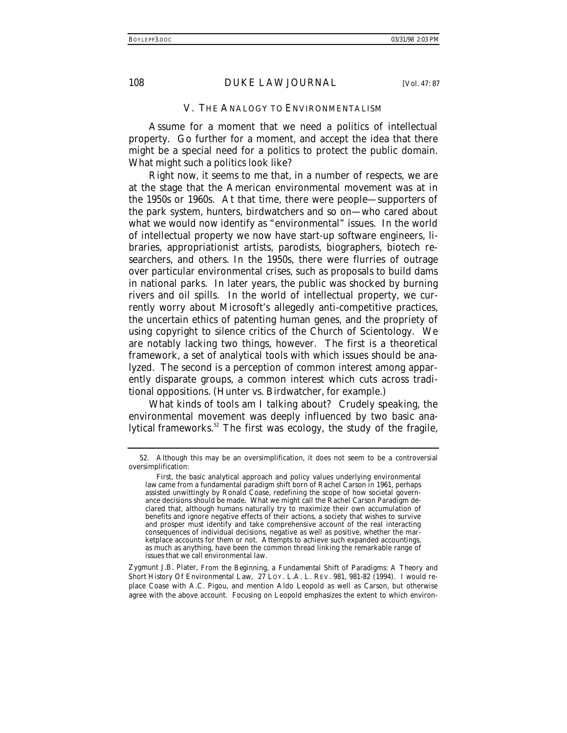### V. THE ANALOGY TO ENVIRONMENTALISM

Assume for a moment that we need a politics of intellectual property. Go further for a moment, and accept the idea that there might be a special need for a politics to protect the public domain. What might such a politics look like?

Right now, it seems to me that, in a number of respects, we are at the stage that the American environmental movement was at in the 1950s or 1960s. At that time, there were people—supporters of the park system, hunters, birdwatchers and so on—who cared about what we would now identify as "environmental" issues. In the world of intellectual property we now have start-up software engineers, libraries, appropriationist artists, parodists, biographers, biotech researchers, and others. In the 1950s, there were flurries of outrage over particular environmental crises, such as proposals to build dams in national parks. In later years, the public was shocked by burning rivers and oil spills. In the world of intellectual property, we currently worry about Microsoft's allegedly anti-competitive practices, the uncertain ethics of patenting human genes, and the propriety of using copyright to silence critics of the Church of Scientology. We are notably lacking two things, however. The first is a theoretical framework, a set of analytical tools with which issues should be analyzed. The second is a perception of common interest among apparently disparate groups, a common interest which cuts across traditional oppositions. (Hunter vs. Birdwatcher, for example.)

What kinds of tools am I talking about? Crudely speaking, the environmental movement was deeply influenced by two basic analytical frameworks.<sup>52</sup> The first was ecology, the study of the fragile,

Zygmunt J.B. Plater, *From the Beginning, a Fundamental Shift of Paradigms: A Theory and Short History Of Environmental Law*, 27 LOY. L.A. L. REV. 981, 981-82 (1994). I would replace Coase with A.C. Pigou, and mention Aldo Leopold as well as Carson, but otherwise agree with the above account. Focusing on Leopold emphasizes the extent to which environ-

<sup>52.</sup> Although this may be an oversimplification, it does not seem to be a controversial oversimplification:

First, the basic analytical approach and policy values underlying environmental law came from a fundamental paradigm shift born of Rachel Carson in 1961, perhaps assisted unwittingly by Ronald Coase, redefining the scope of how societal governance decisions should be made. What we might call the Rachel Carson Paradigm declared that, although humans naturally try to maximize their own accumulation of benefits and ignore negative effects of their actions, a society that wishes to survive and prosper must identify and take comprehensive account of the real interacting consequences of individual decisions, negative as well as positive, whether the marketplace accounts for them or not. Attempts to achieve such expanded accountings, as much as anything, have been the common thread linking the remarkable range of issues that we call environmental law.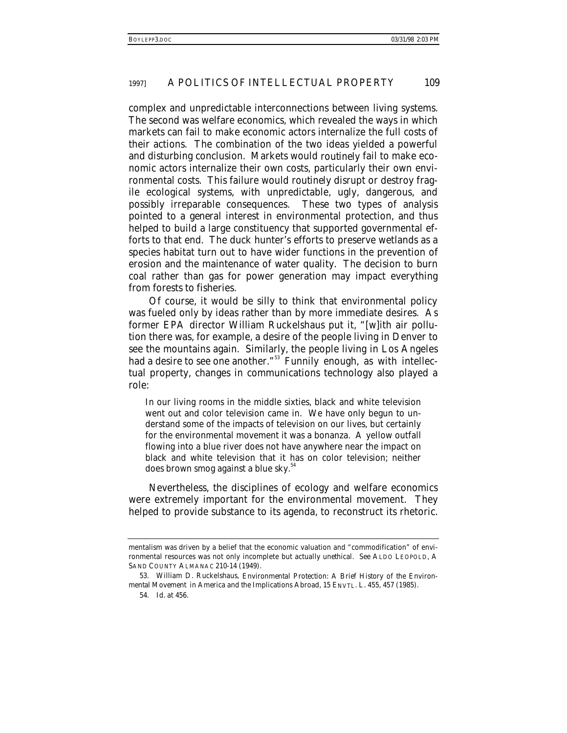complex and unpredictable interconnections between living systems. The second was welfare economics, which revealed the ways in which markets can fail to make economic actors internalize the full costs of their actions. The combination of the two ideas yielded a powerful and disturbing conclusion. Markets would *routinely* fail to make economic actors internalize their own costs, particularly their own environmental costs. This failure would *routinely* disrupt or destroy fragile ecological systems, with unpredictable, ugly, dangerous, and possibly irreparable consequences. These two types of analysis pointed to a *general* interest in environmental protection, and thus helped to build a large constituency that supported governmental efforts to that end. The duck hunter's efforts to preserve wetlands as a species habitat turn out to have wider functions in the prevention of erosion and the maintenance of water quality. The decision to burn coal rather than gas for power generation may impact everything from forests to fisheries.

Of course, it would be silly to think that environmental policy was fueled only by ideas rather than by more immediate desires. As former EPA director William Ruckelshaus put it, "[w]ith air pollution there was, for example, a desire of the people living in Denver to see the mountains again. Similarly, the people living in Los Angeles had a desire to see one another."<sup>53</sup> Funnily enough, as with intellectual property, changes in communications technology also played a role:

In our living rooms in the middle sixties, black and white television went out and color television came in. We have only begun to understand some of the impacts of television on our lives, but certainly for the environmental movement it was a bonanza. A yellow outfall flowing into a blue river does not have anywhere near the impact on black and white television that it has on color television; neither does brown smog against a blue sky.<sup>34</sup>

Nevertheless, the disciplines of ecology and welfare economics were extremely important for the environmental movement. They helped to provide substance to its agenda, to reconstruct its rhetoric.

mentalism was driven by a belief that the economic valuation and "commodification" of environmental resources was not only incomplete but actually *unethical*. *See* ALDO LEOPOLD, A SAND COUNTY ALMANAC 210-14 (1949).

<sup>53.</sup> William D. Ruckelshaus, *Environmental Protection: A Brief History of the Environmental Movement in America and the Implications Abroad*, 15 ENVTL. L. 455, 457 (1985).

<sup>54</sup>*. Id*. at 456.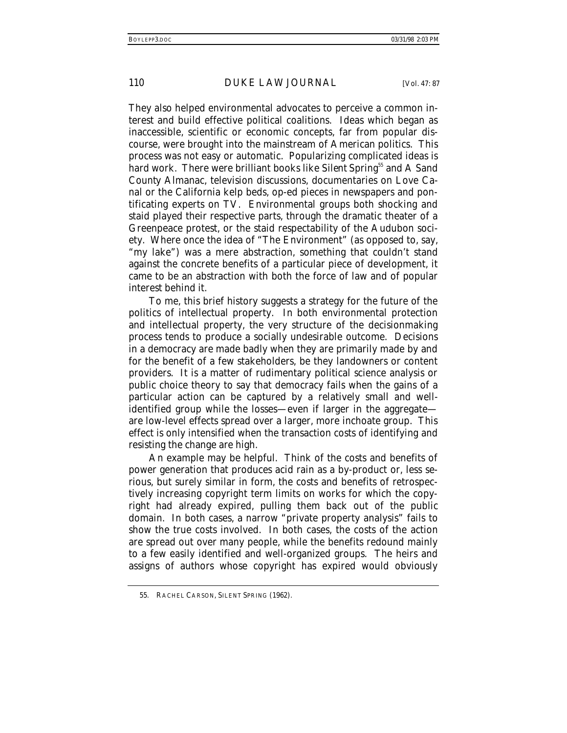They also helped environmental advocates to perceive a common interest and build effective political coalitions. Ideas which began as inaccessible, scientific or economic concepts, far from popular discourse, were brought into the mainstream of American politics. This process was not easy or automatic. Popularizing complicated ideas is hard work. There were brilliant books like *Silent Spring*<sup>55</sup> and *A Sand County Almanac*, television discussions, documentaries on Love Canal or the California kelp beds, op-ed pieces in newspapers and pontificating experts on TV. Environmental groups both shocking and staid played their respective parts, through the dramatic theater of a Greenpeace protest, or the staid respectability of the Audubon society. Where once the idea of "The Environment" (as opposed to, say, "my lake") was a mere abstraction, something that couldn't stand against the concrete benefits of a particular piece of development, it came to be an abstraction with both the force of law and of popular interest behind it.

To me, this brief history suggests a strategy for the future of the politics of intellectual property. In both environmental protection and intellectual property, the very structure of the decisionmaking process tends to produce a socially undesirable outcome. Decisions in a democracy are made badly when they are primarily made by and for the benefit of a few stakeholders, be they landowners or content providers. It is a matter of rudimentary political science analysis or public choice theory to say that democracy fails when the gains of a particular action can be captured by a relatively small and wellidentified group while the losses—even if larger in the aggregate are low-level effects spread over a larger, more inchoate group. This effect is only intensified when the transaction costs of identifying and resisting the change are high.

An example may be helpful. Think of the costs and benefits of power generation that produces acid rain as a by-product or, less serious, but surely similar in form, the costs and benefits of retrospectively increasing copyright term limits on works for which the copyright had already expired, pulling them back out of the public domain. In both cases, a narrow "private property analysis" fails to show the true costs involved. In both cases, the costs of the action are spread out over many people, while the benefits redound mainly to a few easily identified and well-organized groups. The heirs and assigns of authors whose copyright has expired would obviously

<sup>55.</sup> RACHEL CARSON, SILENT SPRING (1962).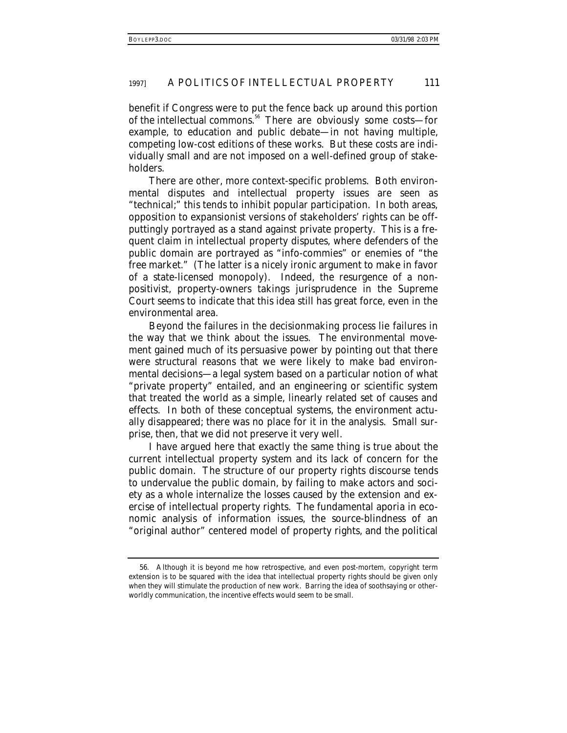benefit if Congress were to put the fence back up around this portion of the intellectual commons.56 There are obviously *some* costs—for example, to education and public debate—in not having multiple, competing low-cost editions of these works. But these costs are individually small and are not imposed on a well-defined group of stakeholders.

There are other, more context-specific problems. Both environmental disputes and intellectual property issues are seen as "technical;" this tends to inhibit popular participation. In both areas, opposition to expansionist versions of stakeholders' rights can be offputtingly portrayed as a stand against private property. This is a frequent claim in intellectual property disputes, where defenders of the public domain are portrayed as "info-commies" or enemies of "the free market." (The latter is a nicely ironic argument to make in favor of a state-licensed monopoly). Indeed, the resurgence of a nonpositivist, property-owners takings jurisprudence in the Supreme Court seems to indicate that this idea still has great force, even in the environmental area.

Beyond the failures in the decisionmaking process lie failures in the way that we think about the issues. The environmental movement gained much of its persuasive power by pointing out that there were structural reasons that we were likely to make bad environmental decisions—a legal system based on a particular notion of what "private property" entailed, and an engineering or scientific system that treated the world as a simple, linearly related set of causes and effects. In both of these conceptual systems, the environment actually *disappeared*; there was no place for it in the analysis. Small surprise, then, that we did not preserve it very well.

I have argued here that exactly the same thing is true about the current intellectual property system and its lack of concern for the public domain. The structure of our property rights discourse tends to undervalue the public domain, by failing to make actors and society as a whole internalize the losses caused by the extension and exercise of intellectual property rights. The fundamental aporia in economic analysis of information issues, the source-blindness of an "original author" centered model of property rights, and the political

<sup>56.</sup> Although it is beyond me how retrospective, and even post-mortem, copyright term extension is to be squared with the idea that intellectual property rights should be given only when they will stimulate the production of new work. Barring the idea of soothsaying or otherworldly communication, the incentive effects would seem to be small.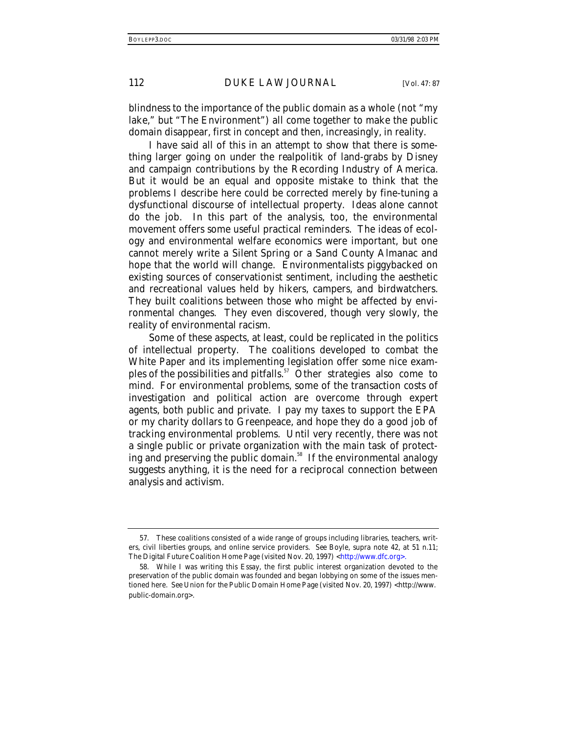blindness to the importance of the public domain as a whole (not "my lake," but "The Environment") all come together to make the public domain disappear, first in concept and then, increasingly, in reality.

I have said all of this in an attempt to show that there is something larger going on under the *realpolitik* of land-grabs by Disney and campaign contributions by the Recording Industry of America. But it would be an equal and opposite mistake to think that the problems I describe here could be corrected merely by fine-tuning a dysfunctional discourse of intellectual property. Ideas alone cannot do the job. In this part of the analysis, too, the environmental movement offers some useful practical reminders. The ideas of ecology and environmental welfare economics were important, but one cannot merely write a *Silent Spring* or a *Sand County Almanac* and hope that the world will change. Environmentalists piggybacked on existing sources of conservationist sentiment, including the aesthetic and recreational values held by hikers, campers, and birdwatchers. They built coalitions between those who might be affected by environmental changes. They even discovered, though very slowly, the reality of environmental racism.

Some of these aspects, at least, could be replicated in the politics of intellectual property. The coalitions developed to combat the White Paper and its implementing legislation offer some nice examples of the possibilities and pitfalls.<sup>57</sup> Other strategies also come to mind. For environmental problems, some of the transaction costs of investigation and political action are overcome through expert agents, both public and private. I pay my taxes to support the EPA or my charity dollars to Greenpeace, and hope they do a good job of tracking environmental problems. Until very recently, there was not a single public or private organization with the main task of protecting and preserving the public domain.<sup>58</sup> If the environmental analogy suggests anything, it is the need for a reciprocal connection between analysis and activism.

<sup>57.</sup> These coalitions consisted of a wide range of groups including libraries, teachers, writers, civil liberties groups, and online service providers. *See* Boyle, *supra* note 42, at 51 n.11; *The Digital Future Coalition Home Page* (visited Nov. 20, 1997) <http://www.dfc.org>.

<sup>58.</sup> While I was writing this Essay, the first public interest organization devoted to the preservation of the public domain was founded and began lobbying on some of the issues mentioned here. *See Union for the Public Domain Home Page* (visited Nov. 20, 1997) <http://www. public-domain.org>.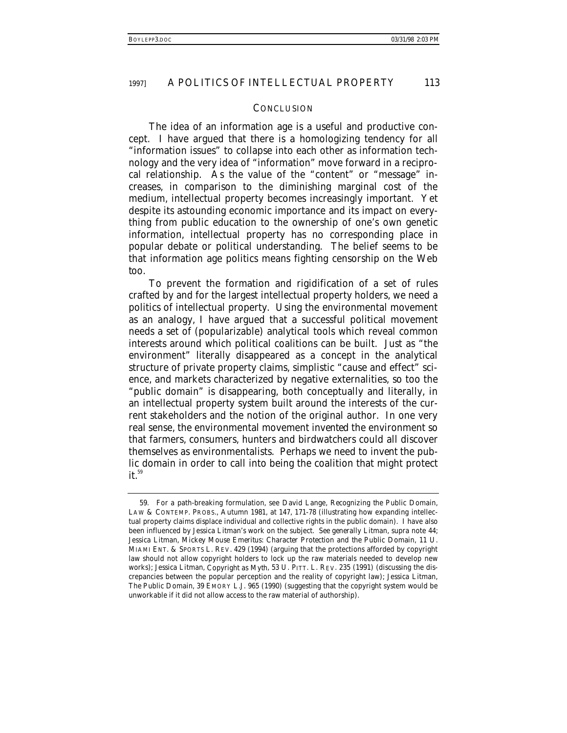#### **CONCLUSION**

The idea of an information age is a useful and productive concept. I have argued that there is a homologizing tendency for all "information issues" to collapse into each other as information technology and the very idea of "information" move forward in a reciprocal relationship. As the value of the "content" or "message" increases, in comparison to the diminishing marginal cost of the medium, intellectual property becomes increasingly important. Yet despite its astounding economic importance and its impact on everything from public education to the ownership of one's own genetic information, intellectual property has no corresponding place in popular debate or political understanding. The belief seems to be that information age politics means fighting censorship on the Web *too.*

To prevent the formation and rigidification of a set of rules crafted by and for the largest intellectual property holders, we need a politics of intellectual property. Using the environmental movement as an analogy, I have argued that a successful political movement needs a set of (popularizable) analytical tools which reveal common interests around which political coalitions can be built. Just as "the environment" literally disappeared as a concept in the analytical structure of private property claims, simplistic "cause and effect" science, and markets characterized by negative externalities, so too the "public domain" is disappearing, both conceptually and literally, in an intellectual property system built around the interests of the current stakeholders and the notion of the original author. In one very real sense, the environmental movement *invented* the environment so that farmers, consumers, hunters and birdwatchers could all discover themselves as environmentalists. Perhaps we need to *invent* the public domain in order to call into being the coalition that might protect  $\mathrm{it}$ .  $59$ 

<sup>59.</sup> For a path-breaking formulation, see David Lange, *Recognizing the Public Domain*, LAW & CONTEMP. PROBS., Autumn 1981, at 147, 171-78 (illustrating how expanding intellectual property claims displace individual and collective rights in the public domain). I have also been influenced by Jessica Litman's work on the subject. *See generally* Litman, *supra* note 44; Jessica Litman, *Mickey Mouse Emeritus: Character Protection and the Public Domain*, 11 U. MIAMI ENT. & SPORTS L. REV. 429 (1994) (arguing that the protections afforded by copyright law should not allow copyright holders to lock up the raw materials needed to develop new works); Jessica Litman, *Copyright as Myth*, 53 U. PITT. L. REV. 235 (1991) (discussing the discrepancies between the popular perception and the reality of copyright law); Jessica Litman, *The Public Domain*, 39 EMORY L.J. 965 (1990) (suggesting that the copyright system would be unworkable if it did not allow access to the raw material of authorship).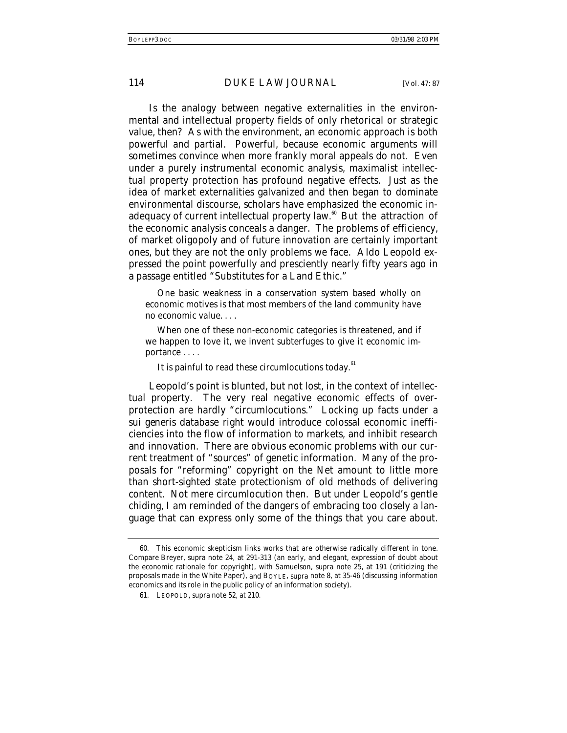Is the analogy between negative externalities in the environmental and intellectual property fields of only rhetorical or strategic value, then? As with the environment, an economic approach is both powerful and partial. Powerful, because economic arguments will sometimes convince when more frankly moral appeals do not. Even under a purely instrumental economic analysis, maximalist intellectual property protection has profound negative effects. Just as the idea of market externalities galvanized and then began to dominate environmental discourse, scholars have emphasized the economic inadequacy of current intellectual property law.<sup>60</sup> But the attraction of the economic analysis conceals a danger. The problems of efficiency, of market oligopoly and of future innovation are certainly important ones, but they are not the only problems we face. Aldo Leopold expressed the point powerfully and presciently nearly fifty years ago in a passage entitled "Substitutes for a Land Ethic."

One basic weakness in a conservation system based wholly on economic motives is that most members of the land community have no economic value. . . .

When one of these non-economic categories is threatened, and if we happen to love it, we invent subterfuges to give it economic importance . . . .

It is painful to read these circumlocutions today. $61$ 

Leopold's point is blunted, but not lost, in the context of intellectual property. The very real negative economic effects of overprotection are hardly "circumlocutions." Locking up facts under a *sui generis* database right would introduce colossal economic inefficiencies into the flow of information to markets, and inhibit research and innovation. There are obvious economic problems with our current treatment of "sources" of genetic information. Many of the proposals for "reforming" copyright on the Net amount to little more than short-sighted state protectionism of old methods of delivering content. Not mere circumlocution then. But under Leopold's gentle chiding, I am reminded of the dangers of embracing too closely a language that can express only some of the things that you care about.

<sup>60.</sup> This economic skepticism links works that are otherwise radically different in tone. *Compare* Breyer, *supra* note 24, at 291-313 (an early, and elegant, expression of doubt about the economic rationale for copyright), *with* Samuelson, *supra* note 25, at 191 (criticizing the proposals made in the White Paper), *and* BOYLE, *supra* note 8, at 35-46 (discussing information economics and its role in the public policy of an information society).

<sup>61.</sup> LEOPOLD, *supra* note 52, at 210.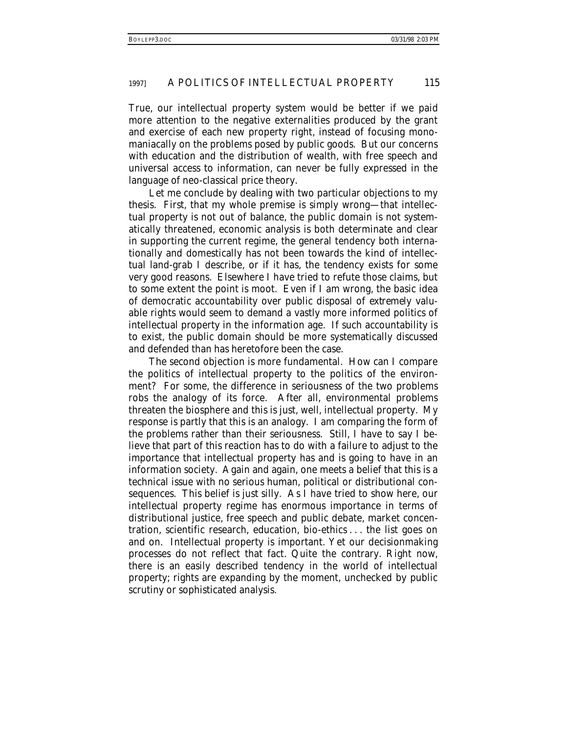True, our intellectual property system would be better if we paid more attention to the negative externalities produced by the grant and exercise of each new property right, instead of focusing monomaniacally on the problems posed by public goods. But our concerns with education and the distribution of wealth, with free speech and universal access to information, can never be fully expressed in the language of neo-classical price theory.

Let me conclude by dealing with two particular objections to my thesis. First, that my whole premise is simply wrong—that intellectual property is not out of balance, the public domain is not systematically threatened, economic analysis is both determinate and clear in supporting the current regime, the general tendency both internationally and domestically has not been towards the kind of intellectual land-grab I describe, or if it has, the tendency exists for some very good reasons. Elsewhere I have tried to refute those claims, but to some extent the point is moot. Even if I am wrong, the basic idea of democratic accountability over public disposal of *extremely* valuable rights would seem to demand a vastly more informed politics of intellectual property in the information age. If such accountability is to exist, the public domain should be more systematically discussed and defended than has heretofore been the case.

The second objection is more fundamental. How can I compare the politics of intellectual property to the politics of the environment? For some, the difference in seriousness of the two problems robs the analogy of its force. After all, environmental problems threaten the biosphere and this is just, well, intellectual property. My response is partly that this is *an analogy*. I am comparing the form of the problems rather than their seriousness. Still, I have to say I believe that part of this reaction has to do with a failure to adjust to the importance that intellectual property has and is going to have in an information society. Again and again, one meets a belief that this is a technical issue with no serious human, political or distributional consequences. This belief is just silly. As I have tried to show here, our intellectual property regime has enormous importance in terms of distributional justice, free speech and public debate, market concentration, scientific research, education, bio-ethics . . . the list goes on and on. Intellectual property is important. Yet our decisionmaking processes do not reflect that fact. Quite the contrary. Right now, there is an easily described tendency in the world of intellectual property; rights are expanding by the moment, unchecked by public scrutiny or sophisticated analysis.